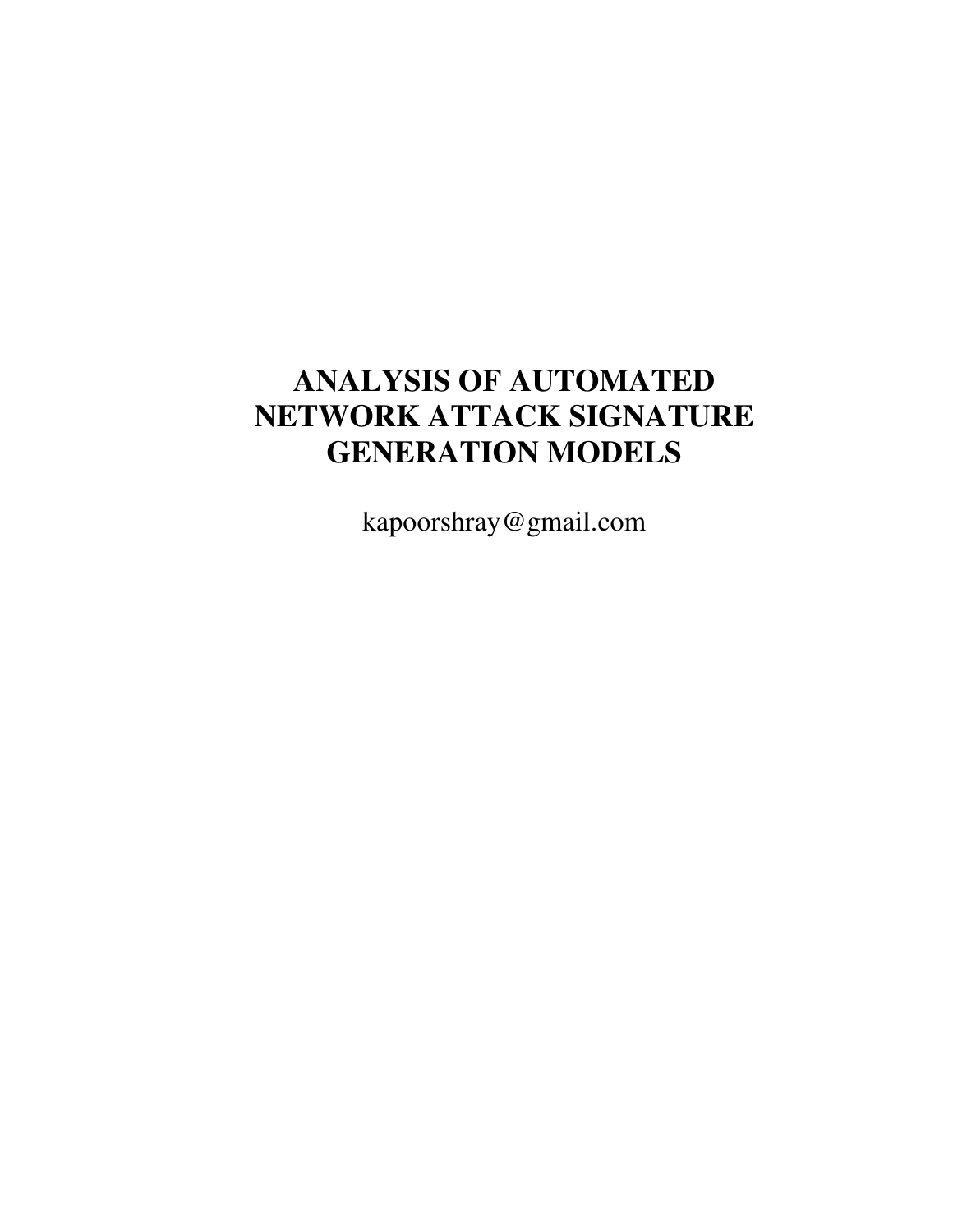# **ANALYSIS OF AUTOMATED NETWORK ATTACK SIGNATURE GENERATION MODELS**

kapoorshray@gmail.com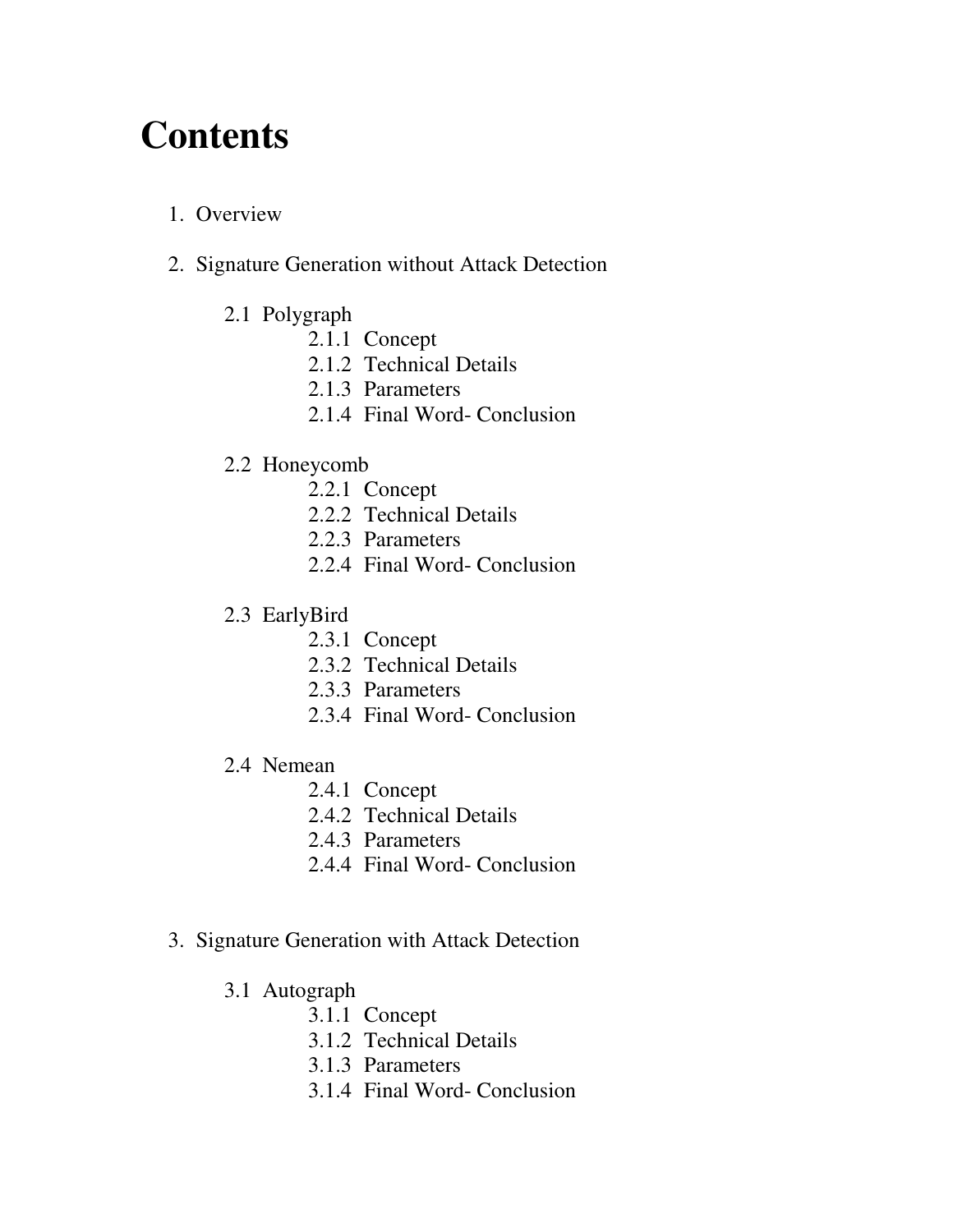# **Contents**

# 1. Overview

- 2. Signature Generation without Attack Detection
	- 2.1 Polygraph
		- 2.1.1 Concept
		- 2.1.2 Technical Details
		- 2.1.3 Parameters
		- 2.1.4 Final Word- Conclusion

# 2.2 Honeycomb

- 2.2.1 Concept
- 2.2.2 Technical Details
- 2.2.3 Parameters
- 2.2.4 Final Word- Conclusion
- 2.3 EarlyBird
	- 2.3.1 Concept
	- 2.3.2 Technical Details
	- 2.3.3 Parameters
	- 2.3.4 Final Word- Conclusion
- 2.4 Nemean
	- 2.4.1 Concept
	- 2.4.2 Technical Details
	- 2.4.3 Parameters
	- 2.4.4 Final Word- Conclusion
- 3. Signature Generation with Attack Detection
	- 3.1 Autograph
		- 3.1.1 Concept
		- 3.1.2 Technical Details
		- 3.1.3 Parameters
		- 3.1.4 Final Word- Conclusion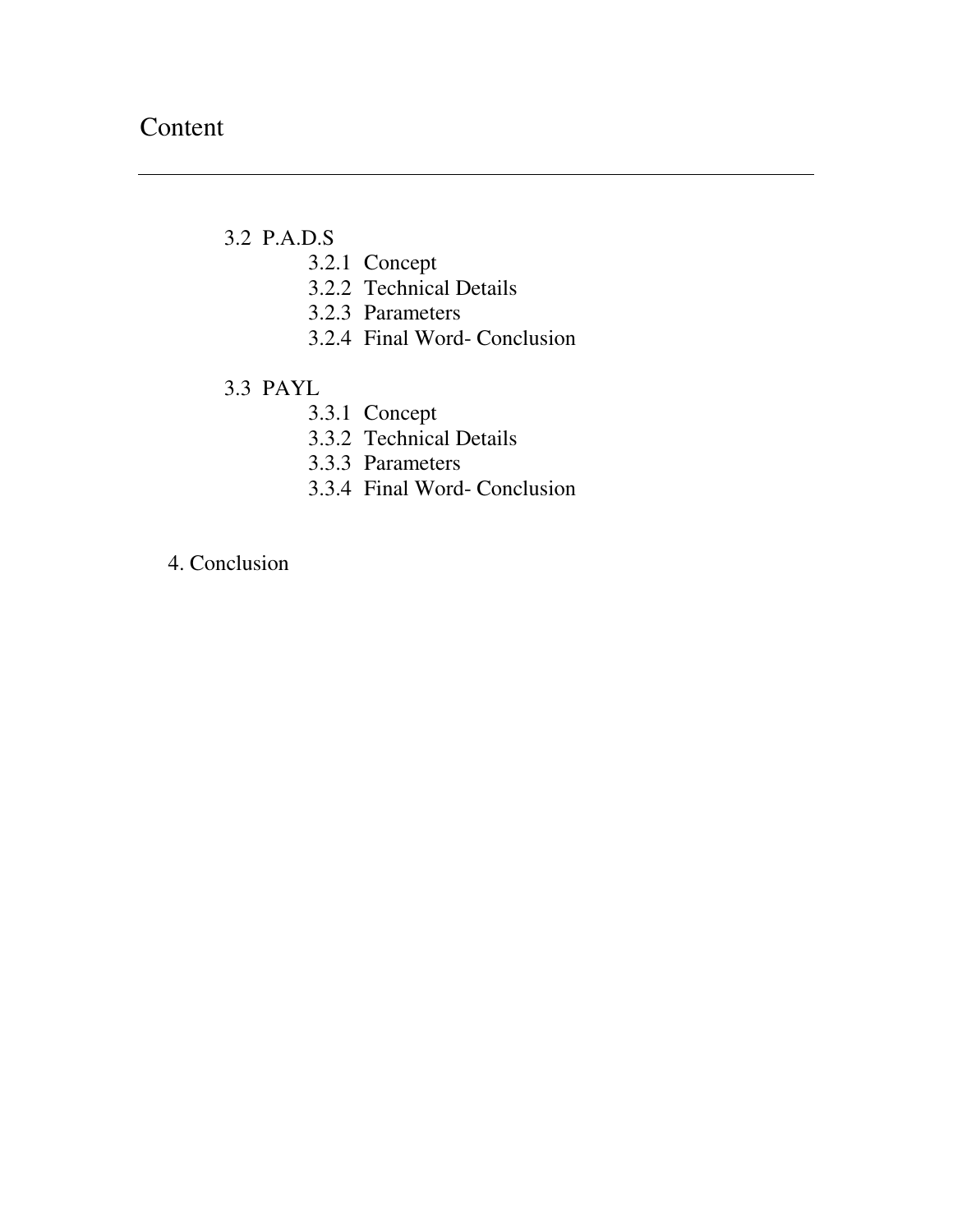# 3.2 P.A.D.S

- 3.2.1 Concept
- 3.2.2 Technical Details
- 3.2.3 Parameters
- 3.2.4 Final Word- Conclusion

# 3.3 PAYL

- 3.3.1 Concept
- 3.3.2 Technical Details
- 3.3.3 Parameters
- 3.3.4 Final Word- Conclusion

4. Conclusion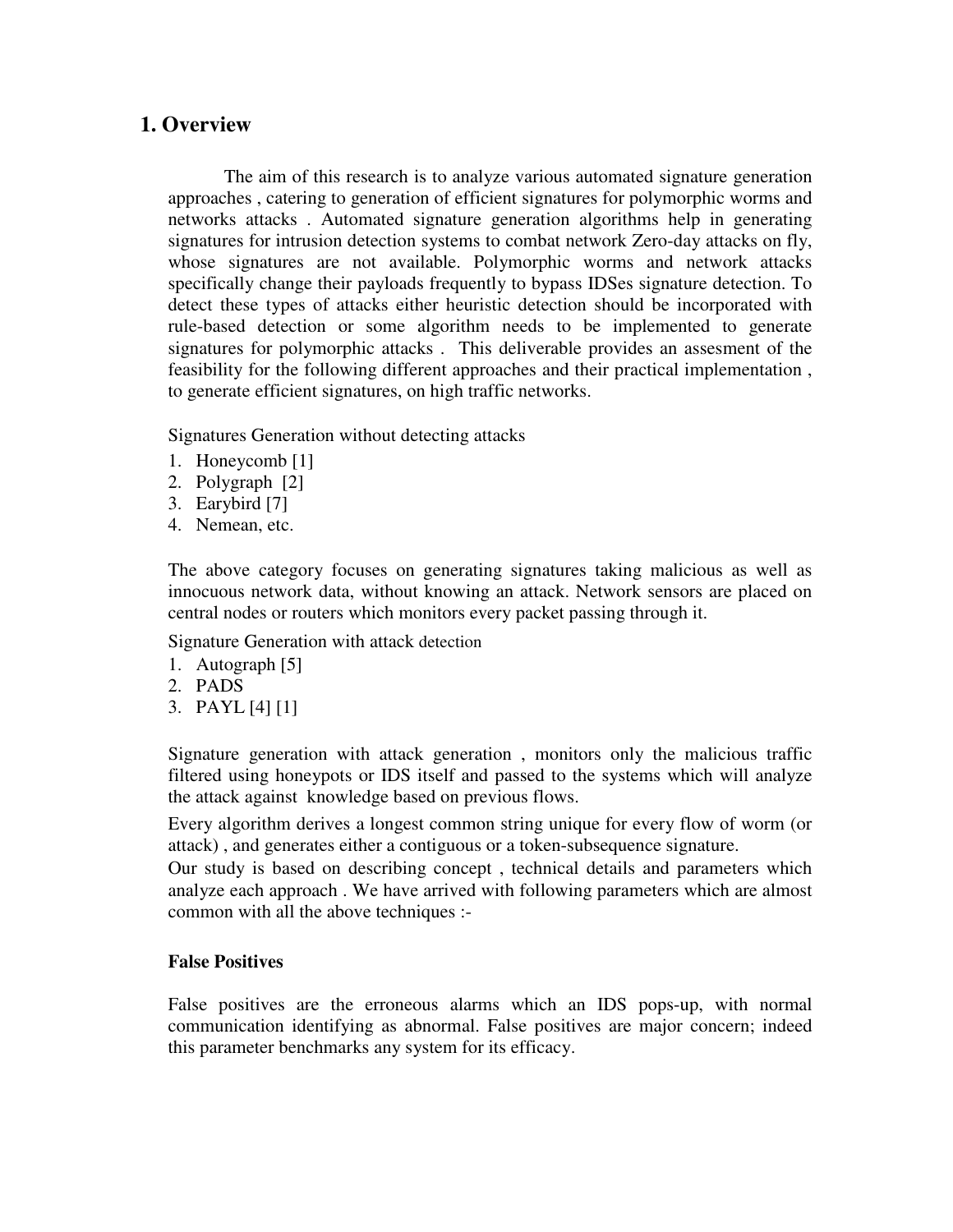# **1. Overview**

The aim of this research is to analyze various automated signature generation approaches , catering to generation of efficient signatures for polymorphic worms and networks attacks . Automated signature generation algorithms help in generating signatures for intrusion detection systems to combat network Zero-day attacks on fly, whose signatures are not available. Polymorphic worms and network attacks specifically change their payloads frequently to bypass IDSes signature detection. To detect these types of attacks either heuristic detection should be incorporated with rule-based detection or some algorithm needs to be implemented to generate signatures for polymorphic attacks . This deliverable provides an assesment of the feasibility for the following different approaches and their practical implementation , to generate efficient signatures, on high traffic networks.

Signatures Generation without detecting attacks

- 1. Honeycomb [1]
- 2. Polygraph [2]
- 3. Earybird [7]
- 4. Nemean, etc.

The above category focuses on generating signatures taking malicious as well as innocuous network data, without knowing an attack. Network sensors are placed on central nodes or routers which monitors every packet passing through it.

Signature Generation with attack detection

- 1. Autograph [5]
- 2. PADS
- 3. PAYL [4] [1]

Signature generation with attack generation , monitors only the malicious traffic filtered using honeypots or IDS itself and passed to the systems which will analyze the attack against knowledge based on previous flows.

Every algorithm derives a longest common string unique for every flow of worm (or attack) , and generates either a contiguous or a token-subsequence signature.

Our study is based on describing concept , technical details and parameters which analyze each approach . We have arrived with following parameters which are almost common with all the above techniques :-

## **False Positives**

False positives are the erroneous alarms which an IDS pops-up, with normal communication identifying as abnormal. False positives are major concern; indeed this parameter benchmarks any system for its efficacy.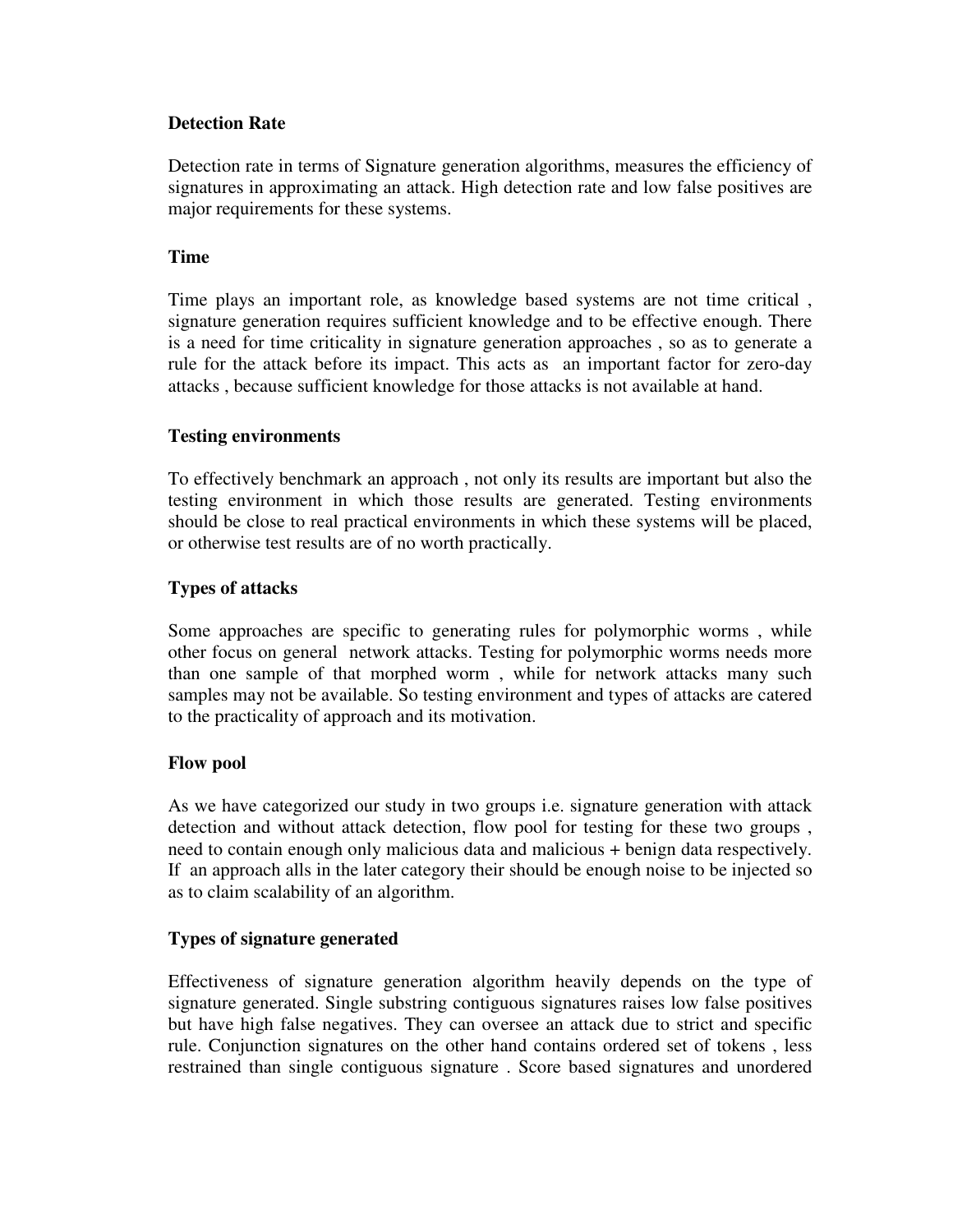## **Detection Rate**

Detection rate in terms of Signature generation algorithms, measures the efficiency of signatures in approximating an attack. High detection rate and low false positives are major requirements for these systems.

# **Time**

Time plays an important role, as knowledge based systems are not time critical , signature generation requires sufficient knowledge and to be effective enough. There is a need for time criticality in signature generation approaches , so as to generate a rule for the attack before its impact. This acts as an important factor for zero-day attacks , because sufficient knowledge for those attacks is not available at hand.

# **Testing environments**

To effectively benchmark an approach , not only its results are important but also the testing environment in which those results are generated. Testing environments should be close to real practical environments in which these systems will be placed, or otherwise test results are of no worth practically.

# **Types of attacks**

Some approaches are specific to generating rules for polymorphic worms , while other focus on general network attacks. Testing for polymorphic worms needs more than one sample of that morphed worm , while for network attacks many such samples may not be available. So testing environment and types of attacks are catered to the practicality of approach and its motivation.

## **Flow pool**

As we have categorized our study in two groups i.e. signature generation with attack detection and without attack detection, flow pool for testing for these two groups , need to contain enough only malicious data and malicious + benign data respectively. If an approach alls in the later category their should be enough noise to be injected so as to claim scalability of an algorithm.

## **Types of signature generated**

Effectiveness of signature generation algorithm heavily depends on the type of signature generated. Single substring contiguous signatures raises low false positives but have high false negatives. They can oversee an attack due to strict and specific rule. Conjunction signatures on the other hand contains ordered set of tokens , less restrained than single contiguous signature . Score based signatures and unordered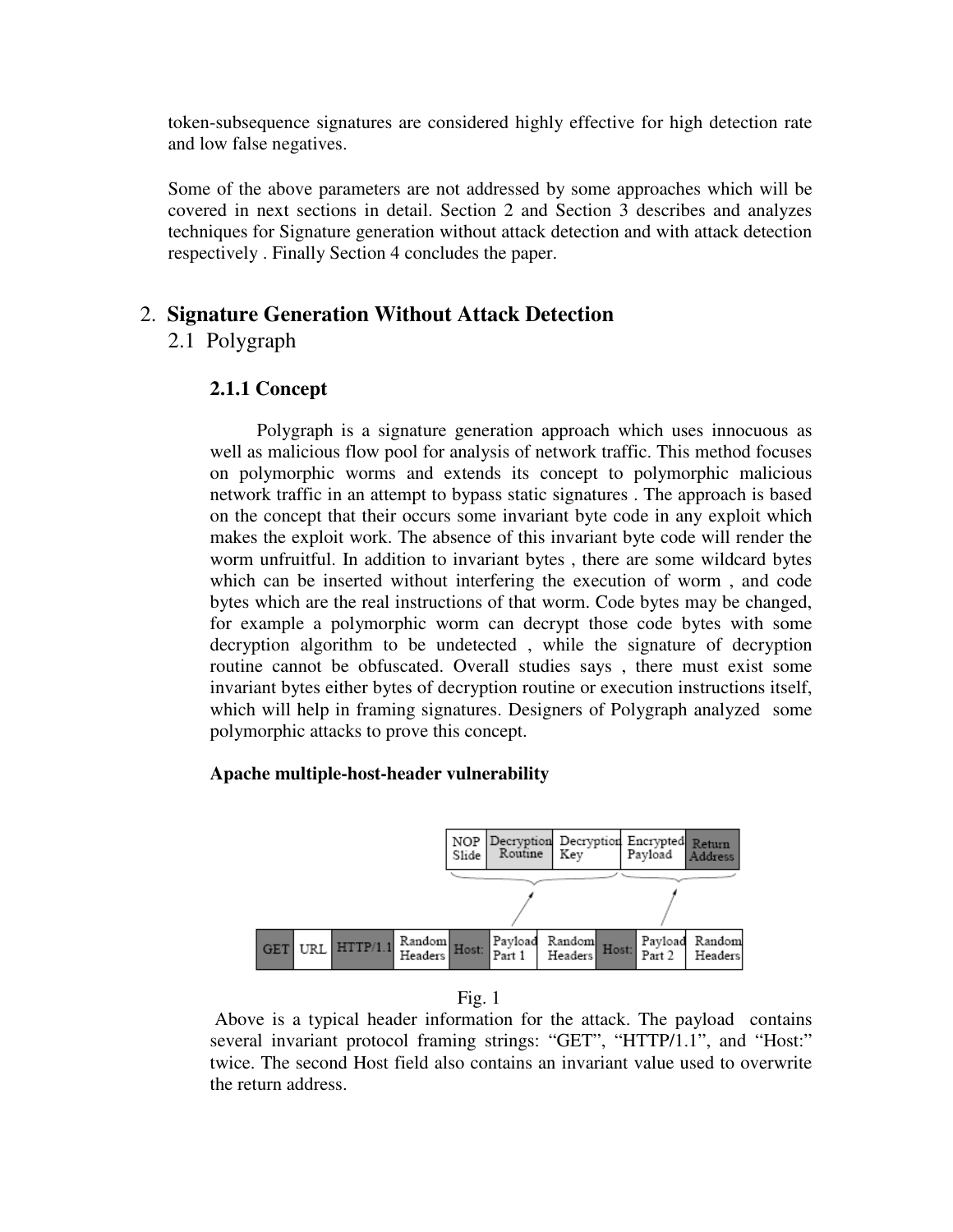token-subsequence signatures are considered highly effective for high detection rate and low false negatives.

Some of the above parameters are not addressed by some approaches which will be covered in next sections in detail. Section 2 and Section 3 describes and analyzes techniques for Signature generation without attack detection and with attack detection respectively . Finally Section 4 concludes the paper.

# 2. **Signature Generation Without Attack Detection**

# 2.1 Polygraph

# **2.1.1 Concept**

 Polygraph is a signature generation approach which uses innocuous as well as malicious flow pool for analysis of network traffic. This method focuses on polymorphic worms and extends its concept to polymorphic malicious network traffic in an attempt to bypass static signatures . The approach is based on the concept that their occurs some invariant byte code in any exploit which makes the exploit work. The absence of this invariant byte code will render the worm unfruitful. In addition to invariant bytes , there are some wildcard bytes which can be inserted without interfering the execution of worm , and code bytes which are the real instructions of that worm. Code bytes may be changed, for example a polymorphic worm can decrypt those code bytes with some decryption algorithm to be undetected , while the signature of decryption routine cannot be obfuscated. Overall studies says , there must exist some invariant bytes either bytes of decryption routine or execution instructions itself, which will help in framing signatures. Designers of Polygraph analyzed some polymorphic attacks to prove this concept.

## **Apache multiple-host-header vulnerability**



Fig. 1

 Above is a typical header information for the attack. The payload contains several invariant protocol framing strings: "GET", "HTTP/1.1", and "Host:" twice. The second Host field also contains an invariant value used to overwrite the return address.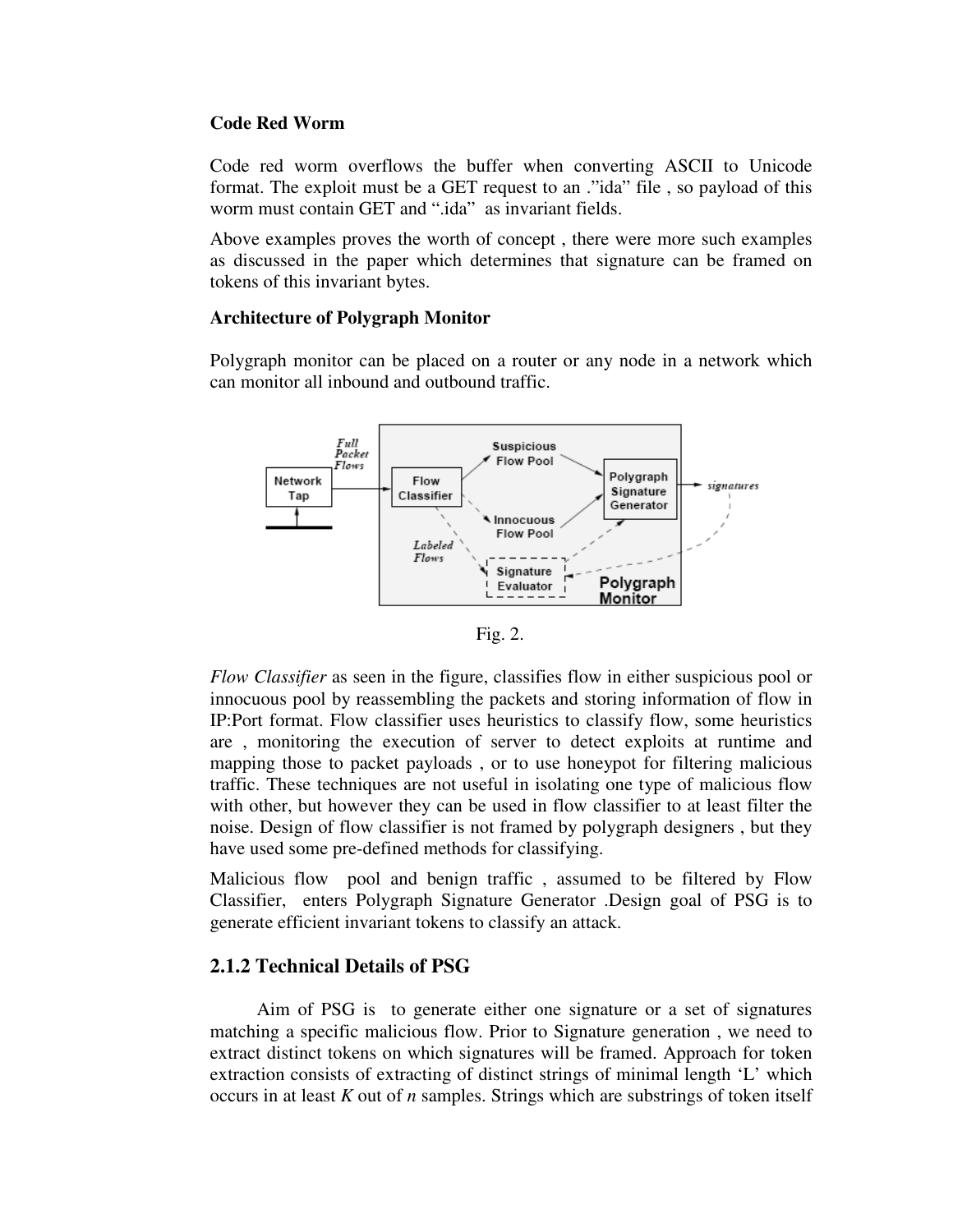#### **Code Red Worm**

Code red worm overflows the buffer when converting ASCII to Unicode format. The exploit must be a GET request to an ."ida" file , so payload of this worm must contain GET and ".ida" as invariant fields.

Above examples proves the worth of concept , there were more such examples as discussed in the paper which determines that signature can be framed on tokens of this invariant bytes.

#### **Architecture of Polygraph Monitor**

Polygraph monitor can be placed on a router or any node in a network which can monitor all inbound and outbound traffic.





*Flow Classifier* as seen in the figure, classifies flow in either suspicious pool or innocuous pool by reassembling the packets and storing information of flow in IP:Port format. Flow classifier uses heuristics to classify flow, some heuristics are , monitoring the execution of server to detect exploits at runtime and mapping those to packet payloads , or to use honeypot for filtering malicious traffic. These techniques are not useful in isolating one type of malicious flow with other, but however they can be used in flow classifier to at least filter the noise. Design of flow classifier is not framed by polygraph designers , but they have used some pre-defined methods for classifying.

Malicious flow pool and benign traffic , assumed to be filtered by Flow Classifier, enters Polygraph Signature Generator .Design goal of PSG is to generate efficient invariant tokens to classify an attack.

## **2.1.2 Technical Details of PSG**

 Aim of PSG is to generate either one signature or a set of signatures matching a specific malicious flow. Prior to Signature generation , we need to extract distinct tokens on which signatures will be framed. Approach for token extraction consists of extracting of distinct strings of minimal length 'L' which occurs in at least *K* out of *n* samples. Strings which are substrings of token itself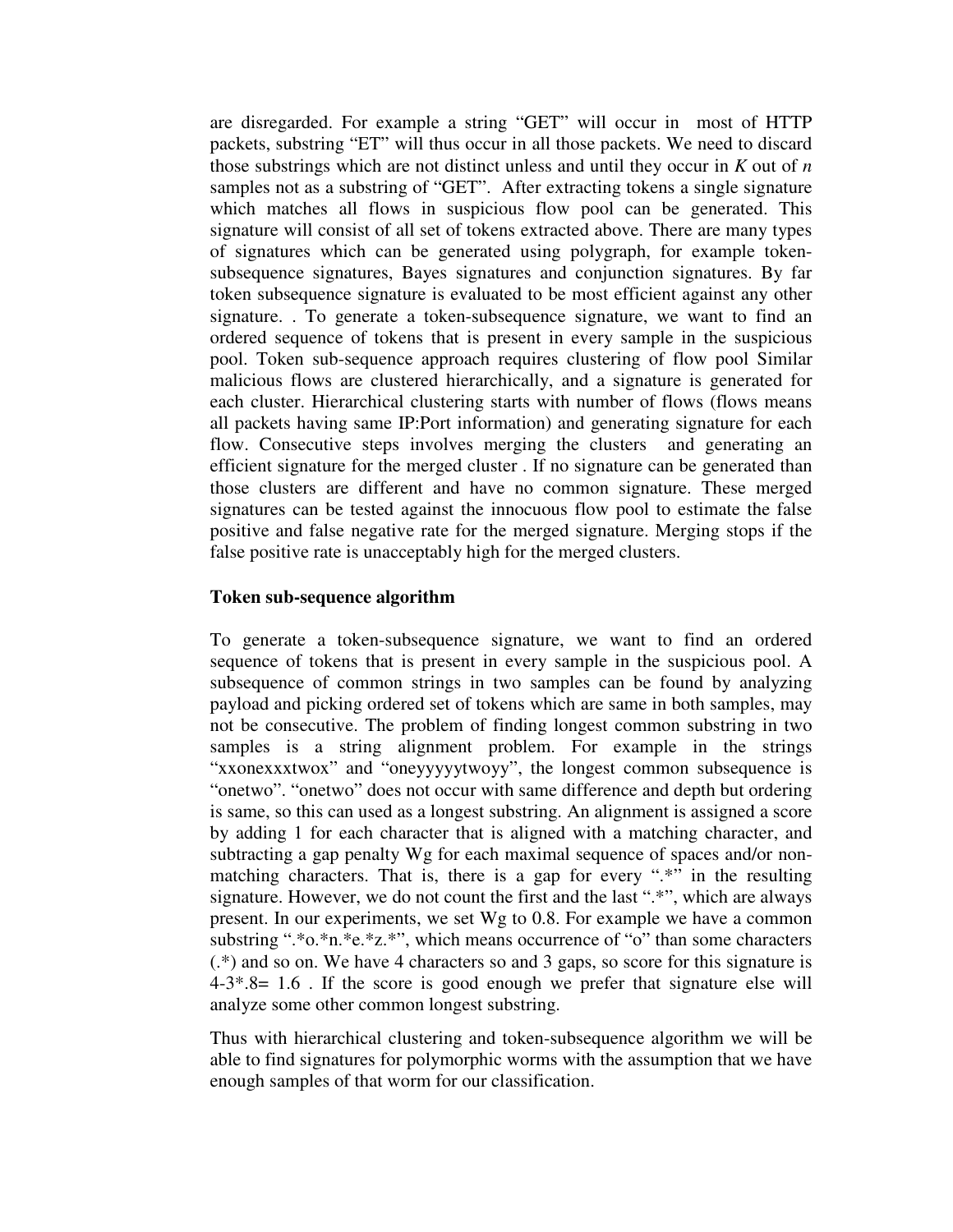are disregarded. For example a string "GET" will occur in most of HTTP packets, substring "ET" will thus occur in all those packets. We need to discard those substrings which are not distinct unless and until they occur in *K* out of *n* samples not as a substring of "GET". After extracting tokens a single signature which matches all flows in suspicious flow pool can be generated. This signature will consist of all set of tokens extracted above. There are many types of signatures which can be generated using polygraph, for example tokensubsequence signatures, Bayes signatures and conjunction signatures. By far token subsequence signature is evaluated to be most efficient against any other signature. . To generate a token-subsequence signature, we want to find an ordered sequence of tokens that is present in every sample in the suspicious pool. Token sub-sequence approach requires clustering of flow pool Similar malicious flows are clustered hierarchically, and a signature is generated for each cluster. Hierarchical clustering starts with number of flows (flows means all packets having same IP:Port information) and generating signature for each flow. Consecutive steps involves merging the clusters and generating an efficient signature for the merged cluster . If no signature can be generated than those clusters are different and have no common signature. These merged signatures can be tested against the innocuous flow pool to estimate the false positive and false negative rate for the merged signature. Merging stops if the false positive rate is unacceptably high for the merged clusters.

#### **Token sub-sequence algorithm**

To generate a token-subsequence signature, we want to find an ordered sequence of tokens that is present in every sample in the suspicious pool. A subsequence of common strings in two samples can be found by analyzing payload and picking ordered set of tokens which are same in both samples, may not be consecutive. The problem of finding longest common substring in two samples is a string alignment problem. For example in the strings "xxonexxxtwox" and "oneyyyyytwoyy", the longest common subsequence is "onetwo". "onetwo" does not occur with same difference and depth but ordering is same, so this can used as a longest substring. An alignment is assigned a score by adding 1 for each character that is aligned with a matching character, and subtracting a gap penalty Wg for each maximal sequence of spaces and/or nonmatching characters. That is, there is a gap for every ".\*" in the resulting signature. However, we do not count the first and the last ".\*", which are always present. In our experiments, we set Wg to 0.8. For example we have a common substring ".\*o.\*n.\*e.\*z.\*", which means occurrence of "o" than some characters (.\*) and so on. We have 4 characters so and 3 gaps, so score for this signature is  $4-3*8= 1.6$ . If the score is good enough we prefer that signature else will analyze some other common longest substring.

Thus with hierarchical clustering and token-subsequence algorithm we will be able to find signatures for polymorphic worms with the assumption that we have enough samples of that worm for our classification.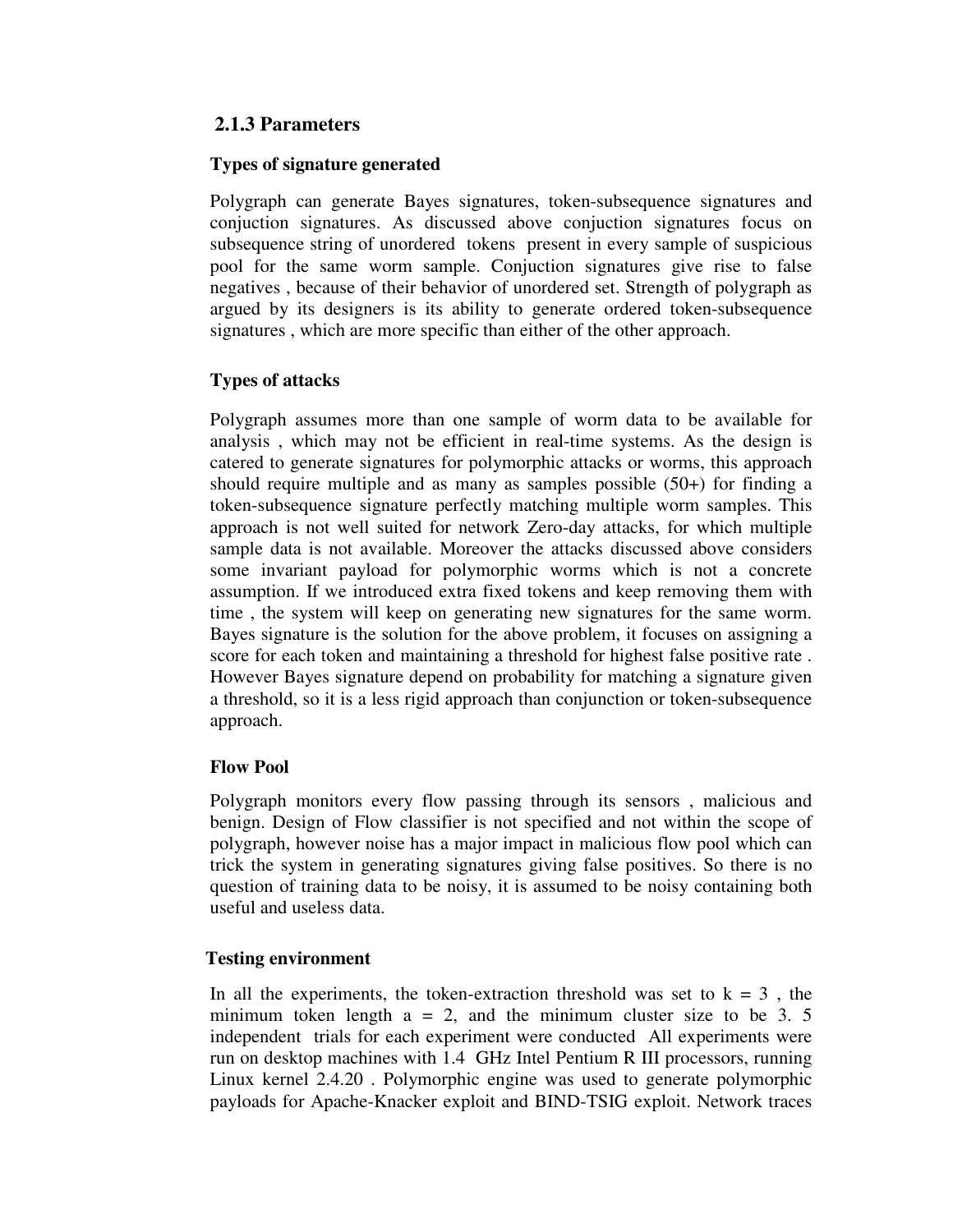# **2.1.3 Parameters**

#### **Types of signature generated**

Polygraph can generate Bayes signatures, token-subsequence signatures and conjuction signatures. As discussed above conjuction signatures focus on subsequence string of unordered tokens present in every sample of suspicious pool for the same worm sample. Conjuction signatures give rise to false negatives , because of their behavior of unordered set. Strength of polygraph as argued by its designers is its ability to generate ordered token-subsequence signatures , which are more specific than either of the other approach.

# **Types of attacks**

Polygraph assumes more than one sample of worm data to be available for analysis , which may not be efficient in real-time systems. As the design is catered to generate signatures for polymorphic attacks or worms, this approach should require multiple and as many as samples possible  $(50+)$  for finding a token-subsequence signature perfectly matching multiple worm samples. This approach is not well suited for network Zero-day attacks, for which multiple sample data is not available. Moreover the attacks discussed above considers some invariant payload for polymorphic worms which is not a concrete assumption. If we introduced extra fixed tokens and keep removing them with time , the system will keep on generating new signatures for the same worm. Bayes signature is the solution for the above problem, it focuses on assigning a score for each token and maintaining a threshold for highest false positive rate . However Bayes signature depend on probability for matching a signature given a threshold, so it is a less rigid approach than conjunction or token-subsequence approach.

## **Flow Pool**

Polygraph monitors every flow passing through its sensors , malicious and benign. Design of Flow classifier is not specified and not within the scope of polygraph, however noise has a major impact in malicious flow pool which can trick the system in generating signatures giving false positives. So there is no question of training data to be noisy, it is assumed to be noisy containing both useful and useless data.

## **Testing environment**

In all the experiments, the token-extraction threshold was set to  $k = 3$ , the minimum token length  $a = 2$ , and the minimum cluster size to be 3. 5 independent trials for each experiment were conducted All experiments were run on desktop machines with 1.4 GHz Intel Pentium R III processors, running Linux kernel 2.4.20 . Polymorphic engine was used to generate polymorphic payloads for Apache-Knacker exploit and BIND-TSIG exploit. Network traces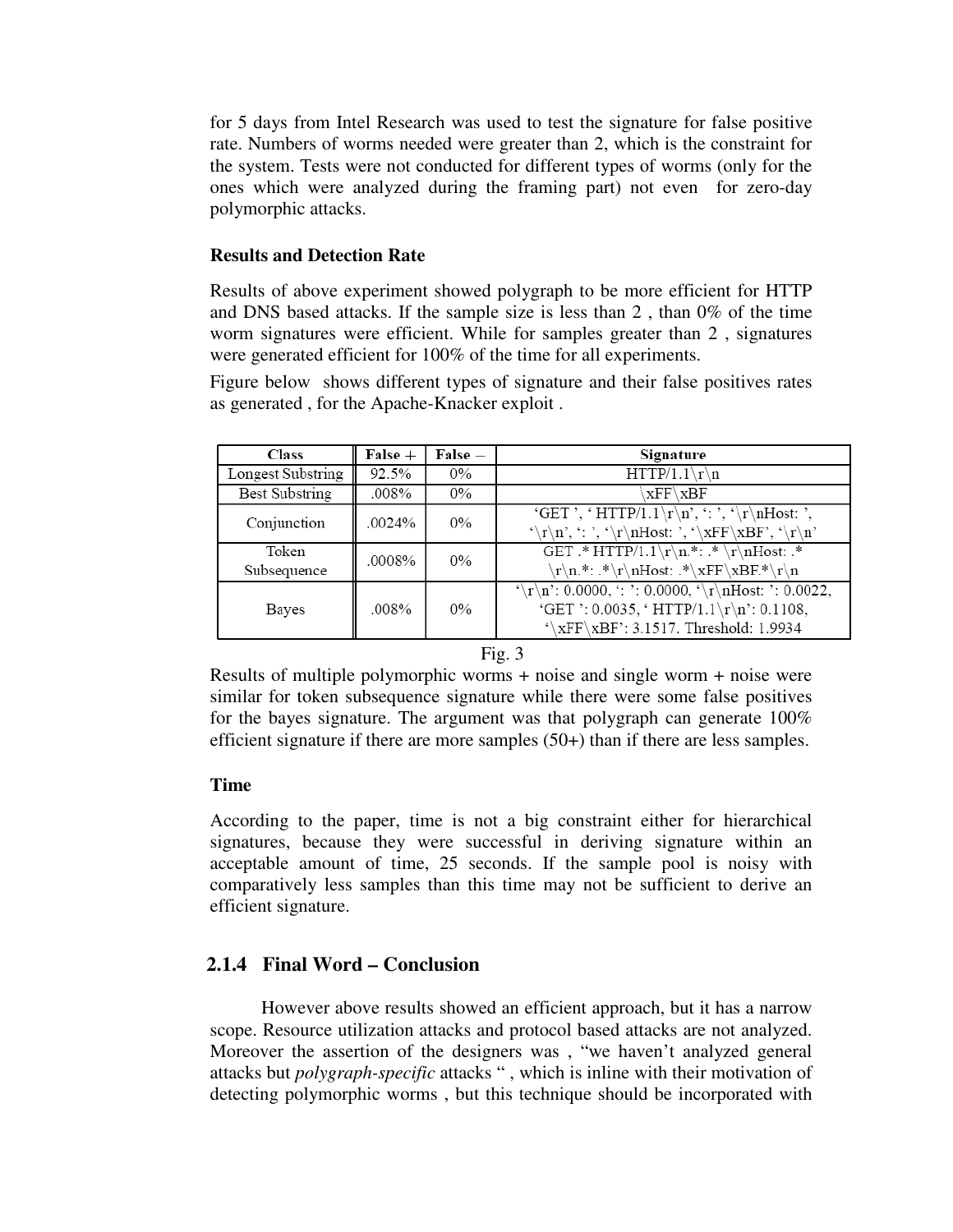for 5 days from Intel Research was used to test the signature for false positive rate. Numbers of worms needed were greater than 2, which is the constraint for the system. Tests were not conducted for different types of worms (only for the ones which were analyzed during the framing part) not even for zero-day polymorphic attacks.

#### **Results and Detection Rate**

Results of above experiment showed polygraph to be more efficient for HTTP and DNS based attacks. If the sample size is less than 2 , than 0% of the time worm signatures were efficient. While for samples greater than 2 , signatures were generated efficient for 100% of the time for all experiments.

Figure below shows different types of signature and their false positives rates as generated , for the Apache-Knacker exploit .

| <b>Class</b>          | $False +$ | $\mathbf{False} =$ | Signature                                                      |
|-----------------------|-----------|--------------------|----------------------------------------------------------------|
| Longest Substring     | 92.5%     | $0\%$              | $HTTP/1.1\rr\n$                                                |
| <b>Best Substring</b> | .008%     | $0\%$              | $xFF\xBF$                                                      |
| Conjunction           | .0024%    | $0\%$              | 'GET ', 'HTTP/1.1\r\n', ': ', '\r\nHost: ',                    |
|                       |           |                    | '\r\n', ': ', '\r\nHost: ', '\xFF\xBF', '\r\n'                 |
| Token                 | .0008%    | 0%                 | GET $*$ HTTP/1.1\r\n.*: $*\r\nh{not:.*}$                       |
| Subsequence           |           |                    | \r\n.*: .*\r\nHost: .*\xFF\xBF.*\r\n                           |
| Bayes                 | .008%     | $0\%$              | $\{\r\in 0.0000, :\} : 0.0000, \{\r\in \mathbb{N}: 0.0022, \}$ |
|                       |           |                    | 'GET ': 0.0035, ' HTTP/1.1\r\n': 0.1108,                       |
|                       |           |                    | $\sqrt{\text{XFF}\text{XBF}}$ : 3.1517. Threshold: 1.9934      |

#### Fig. 3

Results of multiple polymorphic worms + noise and single worm + noise were similar for token subsequence signature while there were some false positives for the bayes signature. The argument was that polygraph can generate 100% efficient signature if there are more samples (50+) than if there are less samples.

#### **Time**

According to the paper, time is not a big constraint either for hierarchical signatures, because they were successful in deriving signature within an acceptable amount of time, 25 seconds. If the sample pool is noisy with comparatively less samples than this time may not be sufficient to derive an efficient signature.

# **2.1.4 Final Word – Conclusion**

 However above results showed an efficient approach, but it has a narrow scope. Resource utilization attacks and protocol based attacks are not analyzed. Moreover the assertion of the designers was , "we haven't analyzed general attacks but *polygraph-specific* attacks " , which is inline with their motivation of detecting polymorphic worms , but this technique should be incorporated with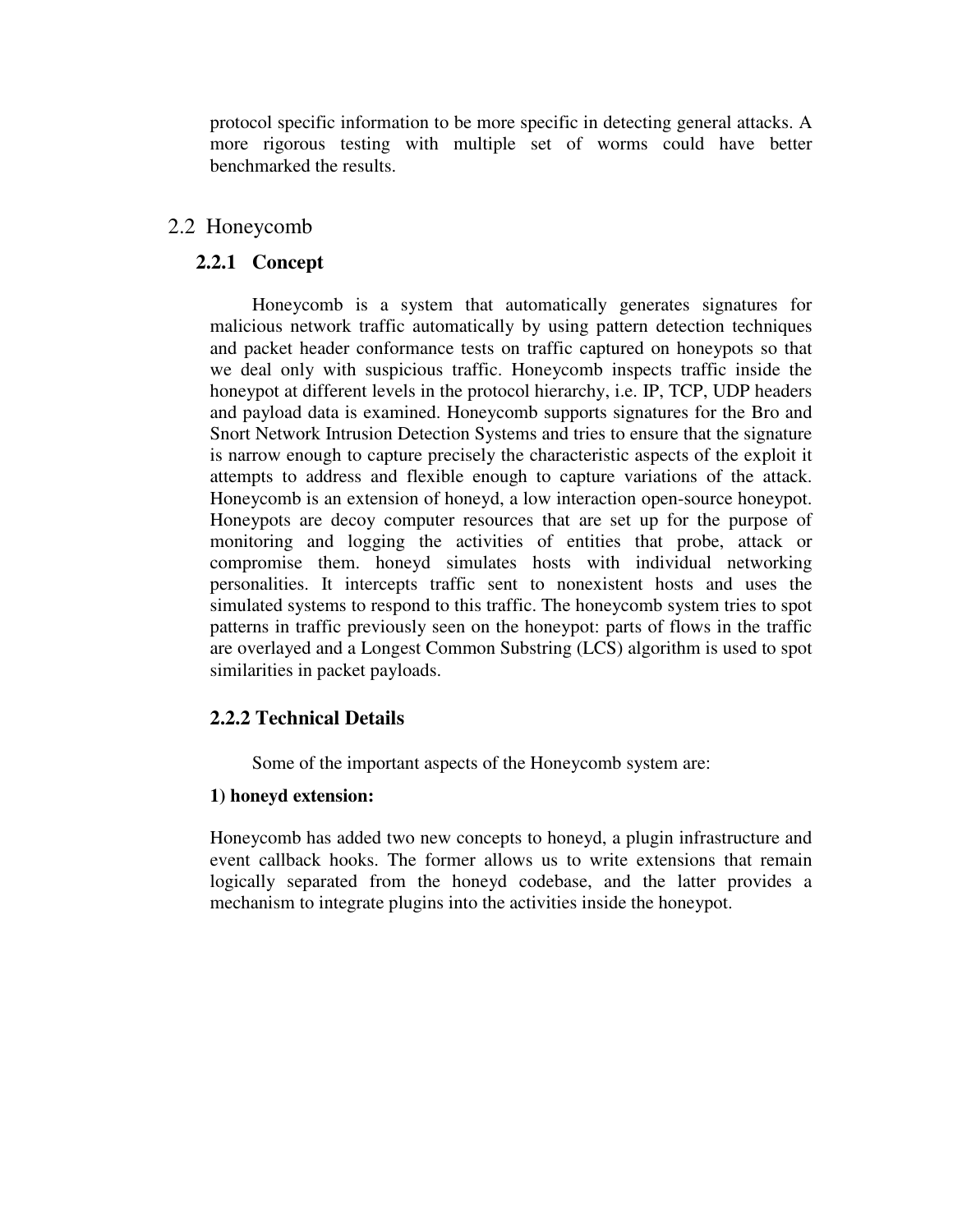protocol specific information to be more specific in detecting general attacks. A more rigorous testing with multiple set of worms could have better benchmarked the results.

# 2.2 Honeycomb

# **2.2.1 Concept**

 Honeycomb is a system that automatically generates signatures for malicious network traffic automatically by using pattern detection techniques and packet header conformance tests on traffic captured on honeypots so that we deal only with suspicious traffic. Honeycomb inspects traffic inside the honeypot at different levels in the protocol hierarchy, i.e. IP, TCP, UDP headers and payload data is examined. Honeycomb supports signatures for the Bro and Snort Network Intrusion Detection Systems and tries to ensure that the signature is narrow enough to capture precisely the characteristic aspects of the exploit it attempts to address and flexible enough to capture variations of the attack. Honeycomb is an extension of honeyd, a low interaction open-source honeypot. Honeypots are decoy computer resources that are set up for the purpose of monitoring and logging the activities of entities that probe, attack or compromise them. honeyd simulates hosts with individual networking personalities. It intercepts traffic sent to nonexistent hosts and uses the simulated systems to respond to this traffic. The honeycomb system tries to spot patterns in traffic previously seen on the honeypot: parts of flows in the traffic are overlayed and a Longest Common Substring (LCS) algorithm is used to spot similarities in packet payloads.

# **2.2.2 Technical Details**

Some of the important aspects of the Honeycomb system are:

# **1) honeyd extension:**

 Honeycomb has added two new concepts to honeyd, a plugin infrastructure and event callback hooks. The former allows us to write extensions that remain logically separated from the honeyd codebase, and the latter provides a mechanism to integrate plugins into the activities inside the honeypot.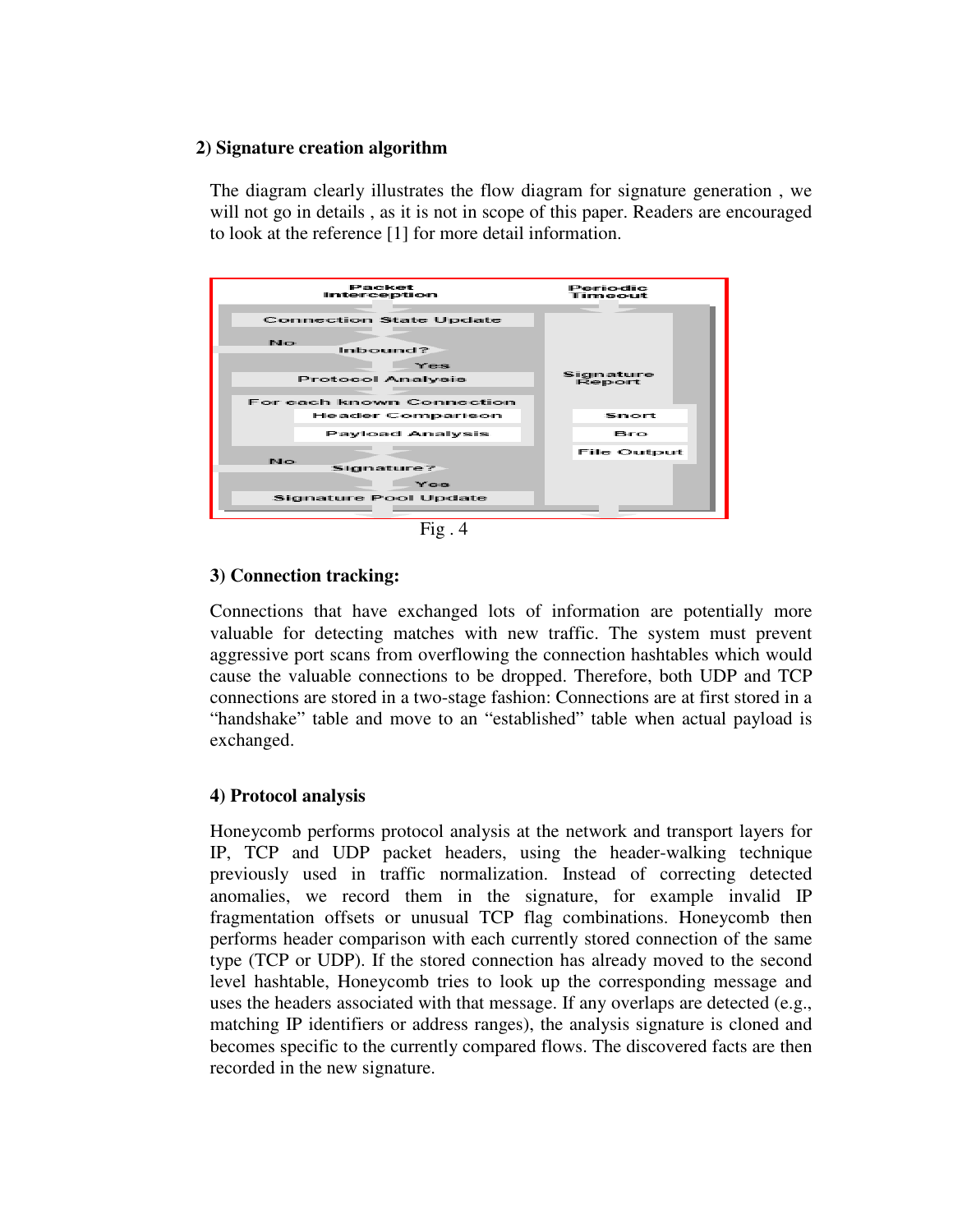## **2) Signature creation algorithm**

 The diagram clearly illustrates the flow diagram for signature generation , we will not go in details , as it is not in scope of this paper. Readers are encouraged to look at the reference [1] for more detail information.



 $Fig. 4$ 

# **3) Connection tracking:**

 Connections that have exchanged lots of information are potentially more valuable for detecting matches with new traffic. The system must prevent aggressive port scans from overflowing the connection hashtables which would cause the valuable connections to be dropped. Therefore, both UDP and TCP connections are stored in a two-stage fashion: Connections are at first stored in a "handshake" table and move to an "established" table when actual payload is exchanged.

## **4) Protocol analysis**

 Honeycomb performs protocol analysis at the network and transport layers for IP, TCP and UDP packet headers, using the header-walking technique previously used in traffic normalization. Instead of correcting detected anomalies, we record them in the signature, for example invalid IP fragmentation offsets or unusual TCP flag combinations. Honeycomb then performs header comparison with each currently stored connection of the same type (TCP or UDP). If the stored connection has already moved to the second level hashtable, Honeycomb tries to look up the corresponding message and uses the headers associated with that message. If any overlaps are detected (e.g., matching IP identifiers or address ranges), the analysis signature is cloned and becomes specific to the currently compared flows. The discovered facts are then recorded in the new signature.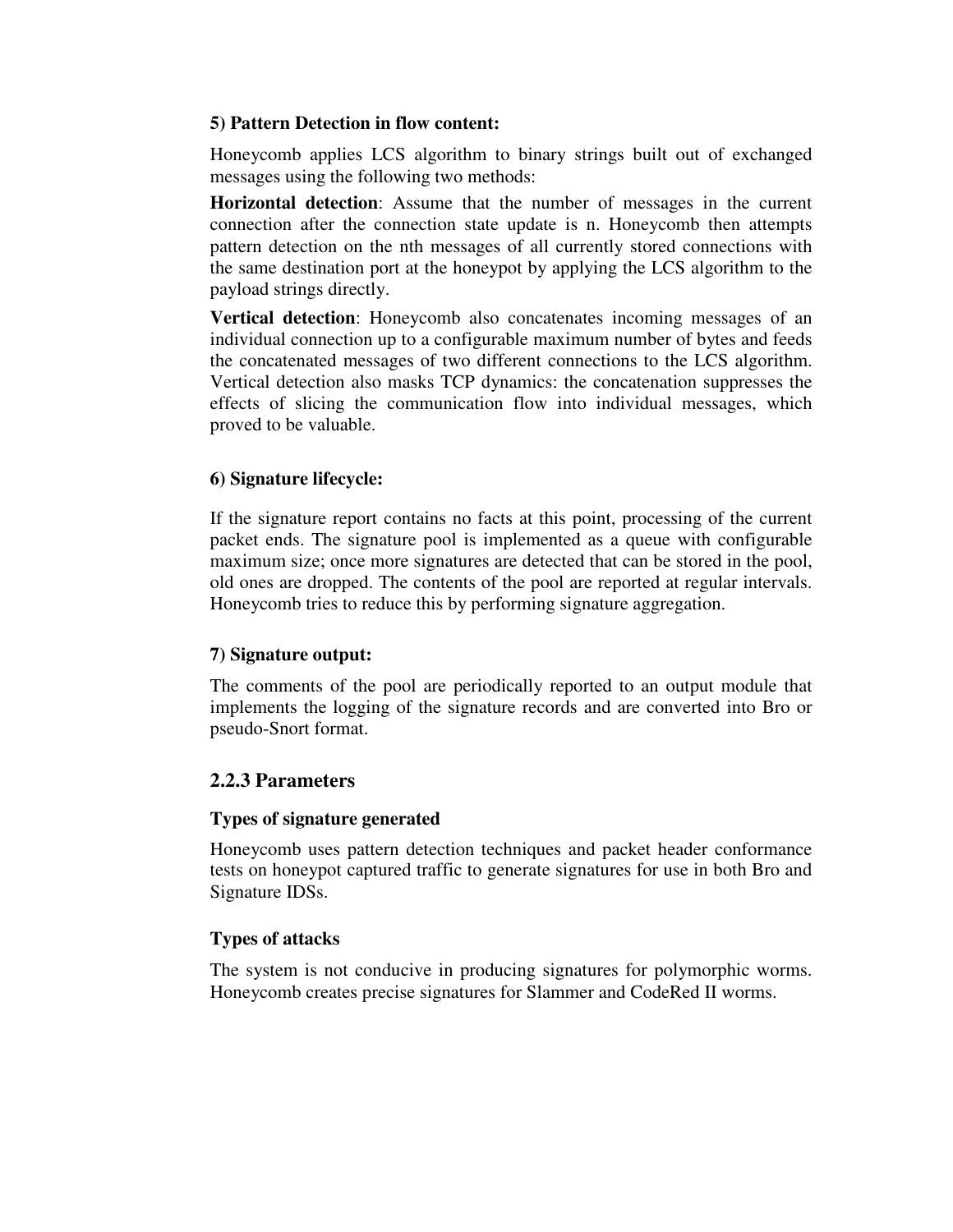## **5) Pattern Detection in flow content:**

 Honeycomb applies LCS algorithm to binary strings built out of exchanged messages using the following two methods:

**Horizontal detection**: Assume that the number of messages in the current connection after the connection state update is n. Honeycomb then attempts pattern detection on the nth messages of all currently stored connections with the same destination port at the honeypot by applying the LCS algorithm to the payload strings directly.

**Vertical detection**: Honeycomb also concatenates incoming messages of an individual connection up to a configurable maximum number of bytes and feeds the concatenated messages of two different connections to the LCS algorithm. Vertical detection also masks TCP dynamics: the concatenation suppresses the effects of slicing the communication flow into individual messages, which proved to be valuable.

# **6) Signature lifecycle:**

 If the signature report contains no facts at this point, processing of the current packet ends. The signature pool is implemented as a queue with configurable maximum size; once more signatures are detected that can be stored in the pool, old ones are dropped. The contents of the pool are reported at regular intervals. Honeycomb tries to reduce this by performing signature aggregation.

## **7) Signature output:**

 The comments of the pool are periodically reported to an output module that implements the logging of the signature records and are converted into Bro or pseudo-Snort format.

# **2.2.3 Parameters**

## **Types of signature generated**

 Honeycomb uses pattern detection techniques and packet header conformance tests on honeypot captured traffic to generate signatures for use in both Bro and Signature IDSs.

# **Types of attacks**

 The system is not conducive in producing signatures for polymorphic worms. Honeycomb creates precise signatures for Slammer and CodeRed II worms.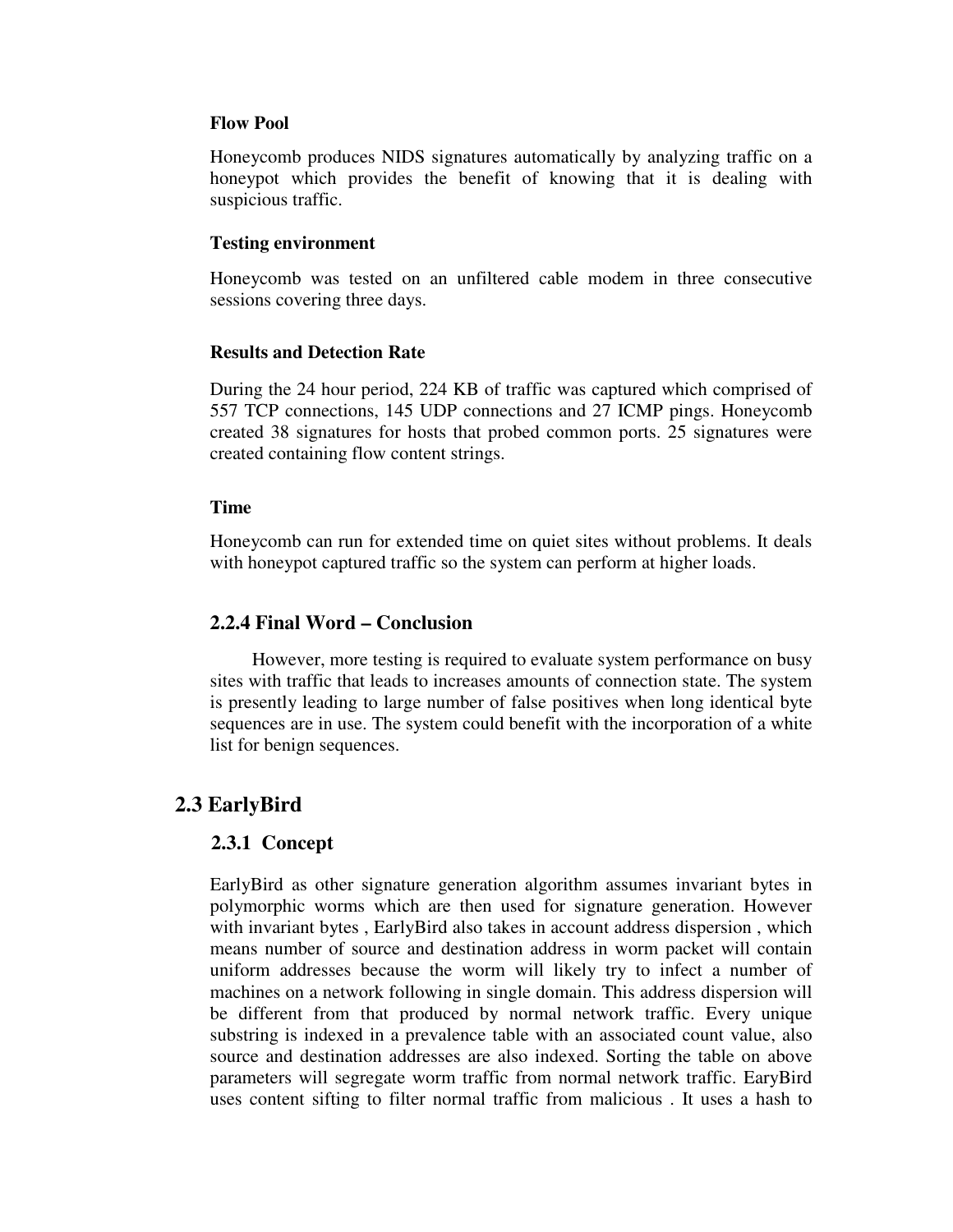#### **Flow Pool**

 Honeycomb produces NIDS signatures automatically by analyzing traffic on a honeypot which provides the benefit of knowing that it is dealing with suspicious traffic.

#### **Testing environment**

 Honeycomb was tested on an unfiltered cable modem in three consecutive sessions covering three days.

#### **Results and Detection Rate**

 During the 24 hour period, 224 KB of traffic was captured which comprised of 557 TCP connections, 145 UDP connections and 27 ICMP pings. Honeycomb created 38 signatures for hosts that probed common ports. 25 signatures were created containing flow content strings.

#### **Time**

 Honeycomb can run for extended time on quiet sites without problems. It deals with honeypot captured traffic so the system can perform at higher loads.

## **2.2.4 Final Word – Conclusion**

 However, more testing is required to evaluate system performance on busy sites with traffic that leads to increases amounts of connection state. The system is presently leading to large number of false positives when long identical byte sequences are in use. The system could benefit with the incorporation of a white list for benign sequences.

# **2.3 EarlyBird**

## **2.3.1 Concept**

 EarlyBird as other signature generation algorithm assumes invariant bytes in polymorphic worms which are then used for signature generation. However with invariant bytes , EarlyBird also takes in account address dispersion , which means number of source and destination address in worm packet will contain uniform addresses because the worm will likely try to infect a number of machines on a network following in single domain. This address dispersion will be different from that produced by normal network traffic. Every unique substring is indexed in a prevalence table with an associated count value, also source and destination addresses are also indexed. Sorting the table on above parameters will segregate worm traffic from normal network traffic. EaryBird uses content sifting to filter normal traffic from malicious . It uses a hash to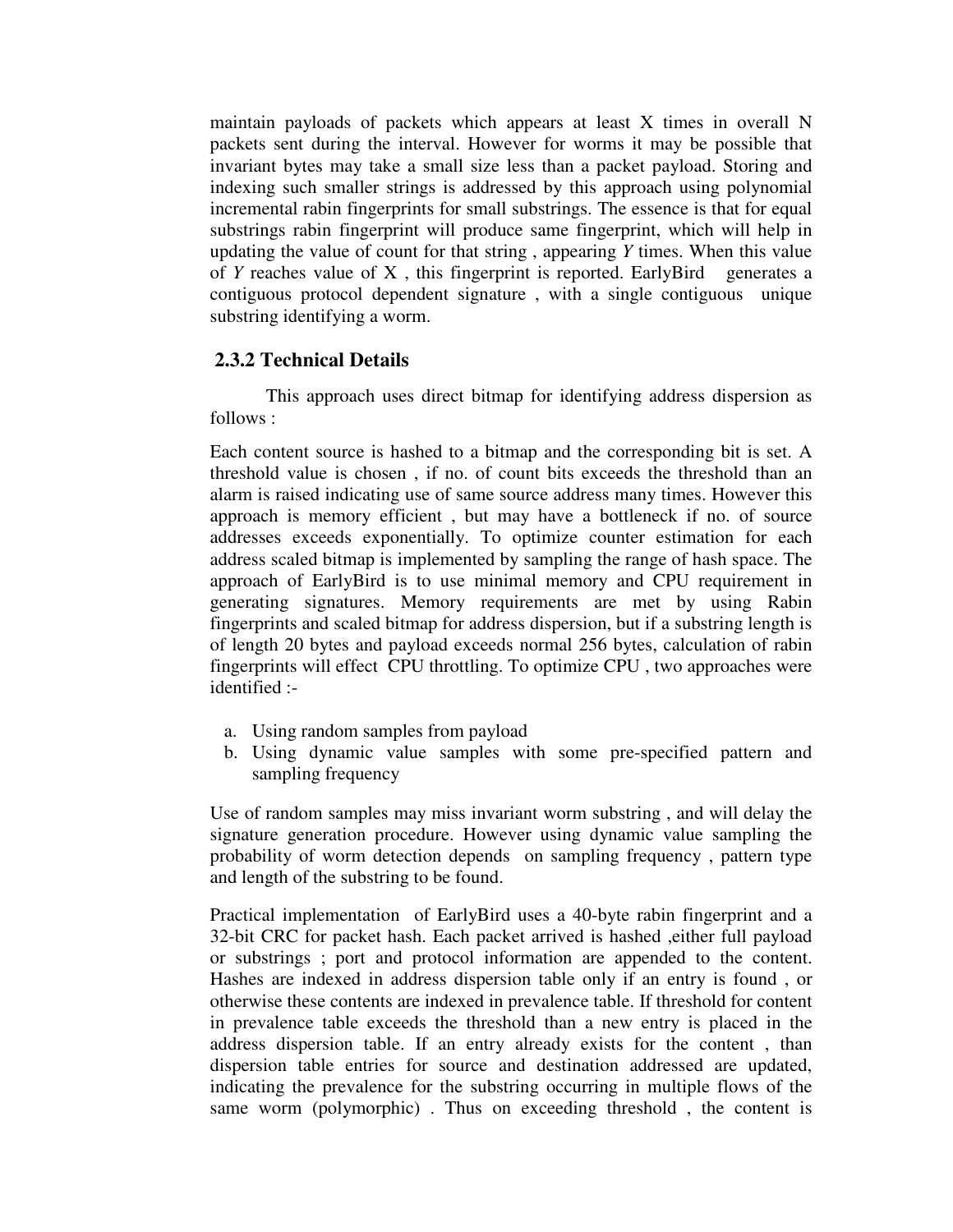maintain payloads of packets which appears at least X times in overall N packets sent during the interval. However for worms it may be possible that invariant bytes may take a small size less than a packet payload. Storing and indexing such smaller strings is addressed by this approach using polynomial incremental rabin fingerprints for small substrings. The essence is that for equal substrings rabin fingerprint will produce same fingerprint, which will help in updating the value of count for that string , appearing *Y* times. When this value of *Y* reaches value of X , this fingerprint is reported. EarlyBird generates a contiguous protocol dependent signature , with a single contiguous unique substring identifying a worm.

# **2.3.2 Technical Details**

 This approach uses direct bitmap for identifying address dispersion as follows :

Each content source is hashed to a bitmap and the corresponding bit is set. A threshold value is chosen , if no. of count bits exceeds the threshold than an alarm is raised indicating use of same source address many times. However this approach is memory efficient , but may have a bottleneck if no. of source addresses exceeds exponentially. To optimize counter estimation for each address scaled bitmap is implemented by sampling the range of hash space. The approach of EarlyBird is to use minimal memory and CPU requirement in generating signatures. Memory requirements are met by using Rabin fingerprints and scaled bitmap for address dispersion, but if a substring length is of length 20 bytes and payload exceeds normal 256 bytes, calculation of rabin fingerprints will effect CPU throttling. To optimize CPU , two approaches were identified :-

- a. Using random samples from payload
- b. Using dynamic value samples with some pre-specified pattern and sampling frequency

Use of random samples may miss invariant worm substring , and will delay the signature generation procedure. However using dynamic value sampling the probability of worm detection depends on sampling frequency , pattern type and length of the substring to be found.

Practical implementation of EarlyBird uses a 40-byte rabin fingerprint and a 32-bit CRC for packet hash. Each packet arrived is hashed ,either full payload or substrings ; port and protocol information are appended to the content. Hashes are indexed in address dispersion table only if an entry is found , or otherwise these contents are indexed in prevalence table. If threshold for content in prevalence table exceeds the threshold than a new entry is placed in the address dispersion table. If an entry already exists for the content , than dispersion table entries for source and destination addressed are updated, indicating the prevalence for the substring occurring in multiple flows of the same worm (polymorphic) . Thus on exceeding threshold , the content is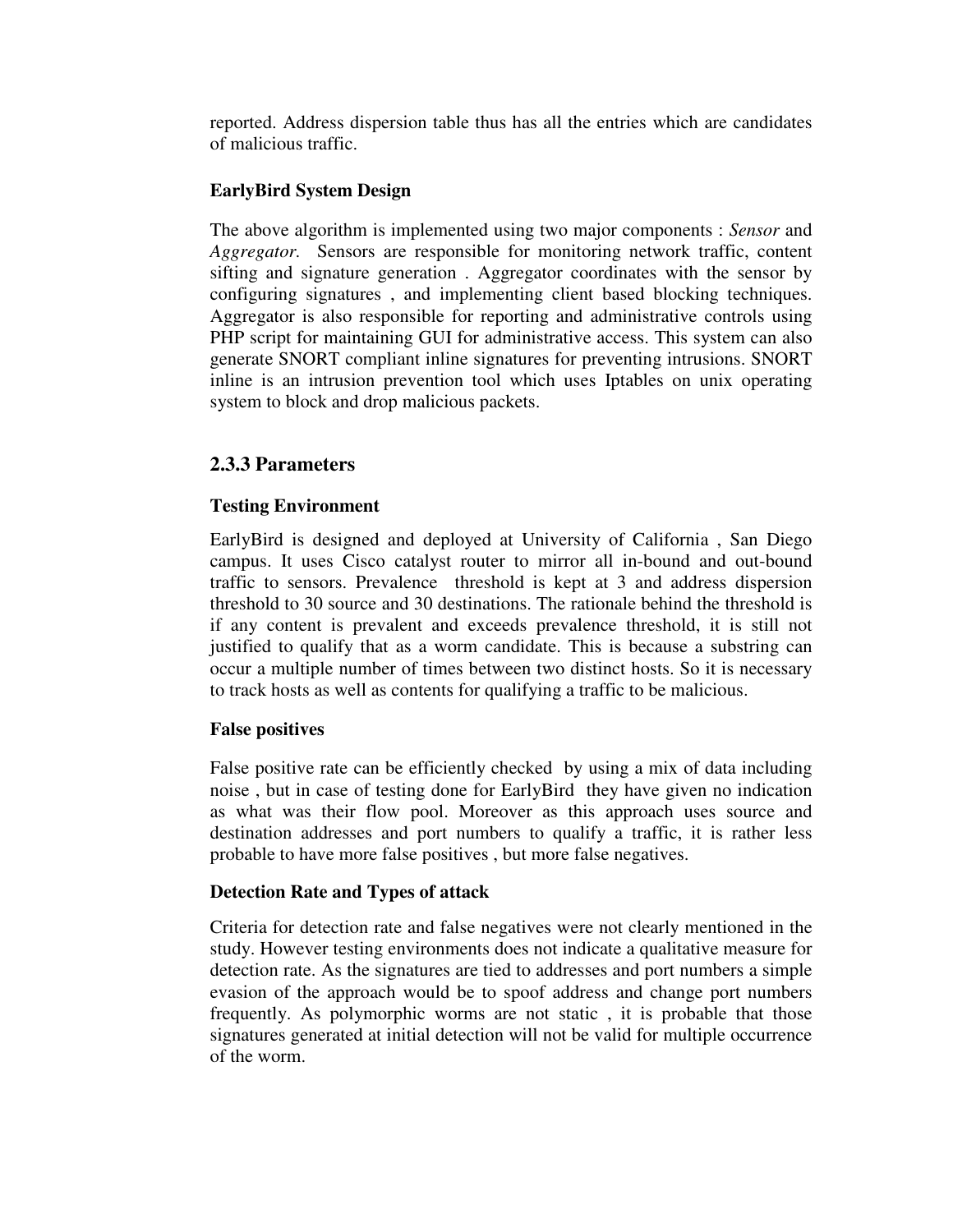reported. Address dispersion table thus has all the entries which are candidates of malicious traffic.

# **EarlyBird System Design**

The above algorithm is implemented using two major components : *Sensor* and *Aggregator.* Sensors are responsible for monitoring network traffic, content sifting and signature generation . Aggregator coordinates with the sensor by configuring signatures , and implementing client based blocking techniques. Aggregator is also responsible for reporting and administrative controls using PHP script for maintaining GUI for administrative access. This system can also generate SNORT compliant inline signatures for preventing intrusions. SNORT inline is an intrusion prevention tool which uses Iptables on unix operating system to block and drop malicious packets.

# **2.3.3 Parameters**

# **Testing Environment**

EarlyBird is designed and deployed at University of California , San Diego campus. It uses Cisco catalyst router to mirror all in-bound and out-bound traffic to sensors. Prevalence threshold is kept at 3 and address dispersion threshold to 30 source and 30 destinations. The rationale behind the threshold is if any content is prevalent and exceeds prevalence threshold, it is still not justified to qualify that as a worm candidate. This is because a substring can occur a multiple number of times between two distinct hosts. So it is necessary to track hosts as well as contents for qualifying a traffic to be malicious.

# **False positives**

False positive rate can be efficiently checked by using a mix of data including noise , but in case of testing done for EarlyBird they have given no indication as what was their flow pool. Moreover as this approach uses source and destination addresses and port numbers to qualify a traffic, it is rather less probable to have more false positives , but more false negatives.

## **Detection Rate and Types of attack**

Criteria for detection rate and false negatives were not clearly mentioned in the study. However testing environments does not indicate a qualitative measure for detection rate. As the signatures are tied to addresses and port numbers a simple evasion of the approach would be to spoof address and change port numbers frequently. As polymorphic worms are not static , it is probable that those signatures generated at initial detection will not be valid for multiple occurrence of the worm.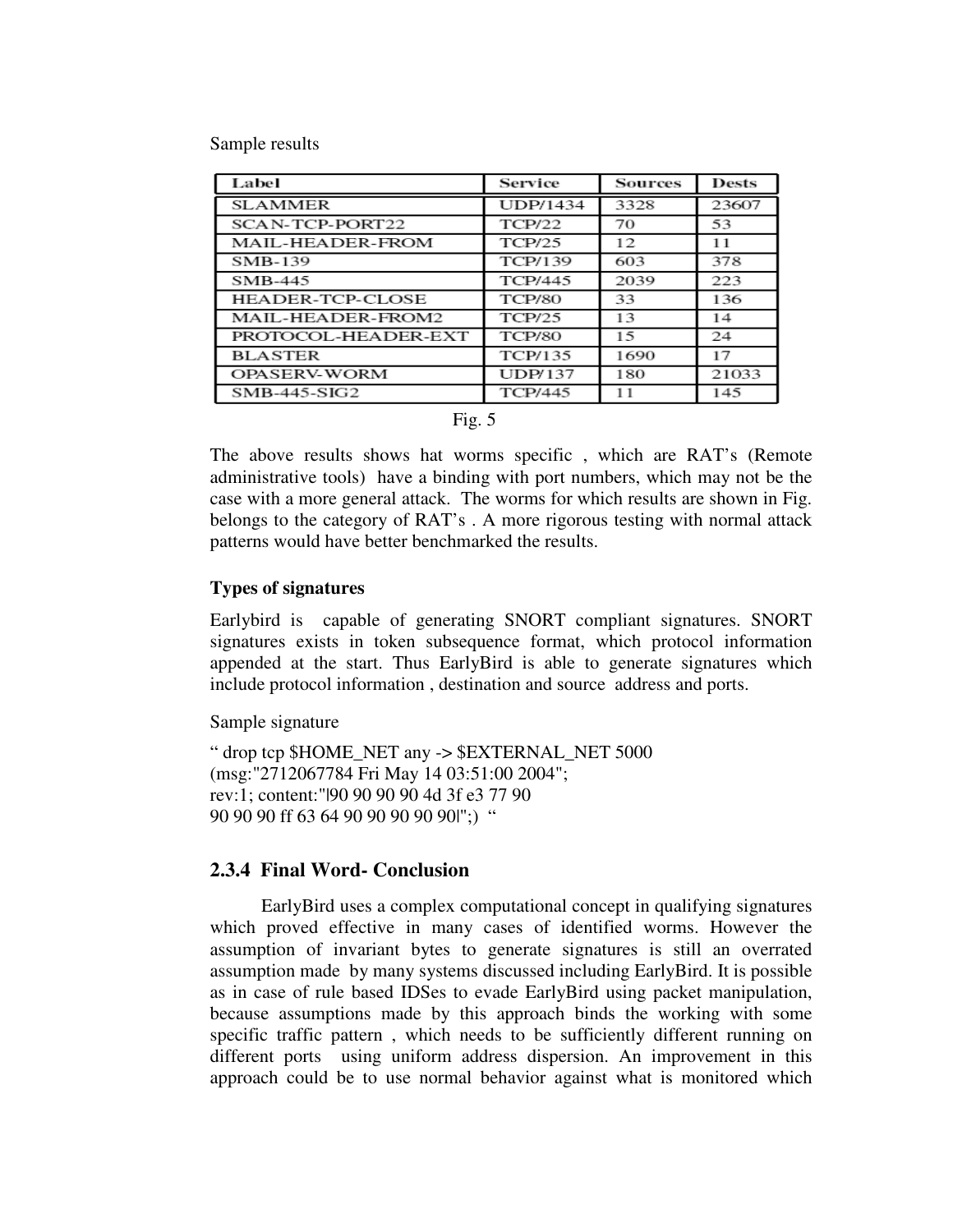Sample results

| Label                   | Service         | <b>Sources</b> | <b>Dests</b> |
|-------------------------|-----------------|----------------|--------------|
| <b>SLAMMER</b>          | <b>UDP/1434</b> | 3328           | 23607        |
| SCAN-TCP-PORT22         | <b>TCP/22</b>   | 70             | 53           |
| MAIL-HEADER-FROM        | <b>TCP/25</b>   | 12             | 11           |
| <b>SMB-139</b>          | TCP/139         | 603            | 378          |
| SMB-445                 | <b>TCP/445</b>  | 2039           | 223          |
| <b>HEADER-TCP-CLOSE</b> | <b>TCP/80</b>   | 33             | 136          |
| MAIL-HEADER-FROM2       | <b>TCP/25</b>   | 13             | 14           |
| PROTOCOL-HEADER-EXT     | <b>TCP/80</b>   | 1.5            | 24           |
| <b>BLASTER</b>          | TCP/135         | 1690           | 17           |
| <b>OPASERV-WORM</b>     | <b>UDP/137</b>  | 180            | 21033        |
| $SMB-445-SIG2$          | TCP/445         | 11             | 145          |

|  | Fig. $5$ |
|--|----------|
|  |          |

The above results shows hat worms specific , which are RAT's (Remote administrative tools) have a binding with port numbers, which may not be the case with a more general attack. The worms for which results are shown in Fig. belongs to the category of RAT's . A more rigorous testing with normal attack patterns would have better benchmarked the results.

## **Types of signatures**

Earlybird is capable of generating SNORT compliant signatures. SNORT signatures exists in token subsequence format, which protocol information appended at the start. Thus EarlyBird is able to generate signatures which include protocol information , destination and source address and ports.

Sample signature

" drop tcp \$HOME\_NET any -> \$EXTERNAL\_NET 5000 (msg:"2712067784 Fri May 14 03:51:00 2004"; rev:1; content:"|90 90 90 90 4d 3f e3 77 90 90 90 90 ff 63 64 90 90 90 90 90|";) "

## **2.3.4 Final Word- Conclusion**

 EarlyBird uses a complex computational concept in qualifying signatures which proved effective in many cases of identified worms. However the assumption of invariant bytes to generate signatures is still an overrated assumption made by many systems discussed including EarlyBird. It is possible as in case of rule based IDSes to evade EarlyBird using packet manipulation, because assumptions made by this approach binds the working with some specific traffic pattern , which needs to be sufficiently different running on different ports using uniform address dispersion. An improvement in this approach could be to use normal behavior against what is monitored which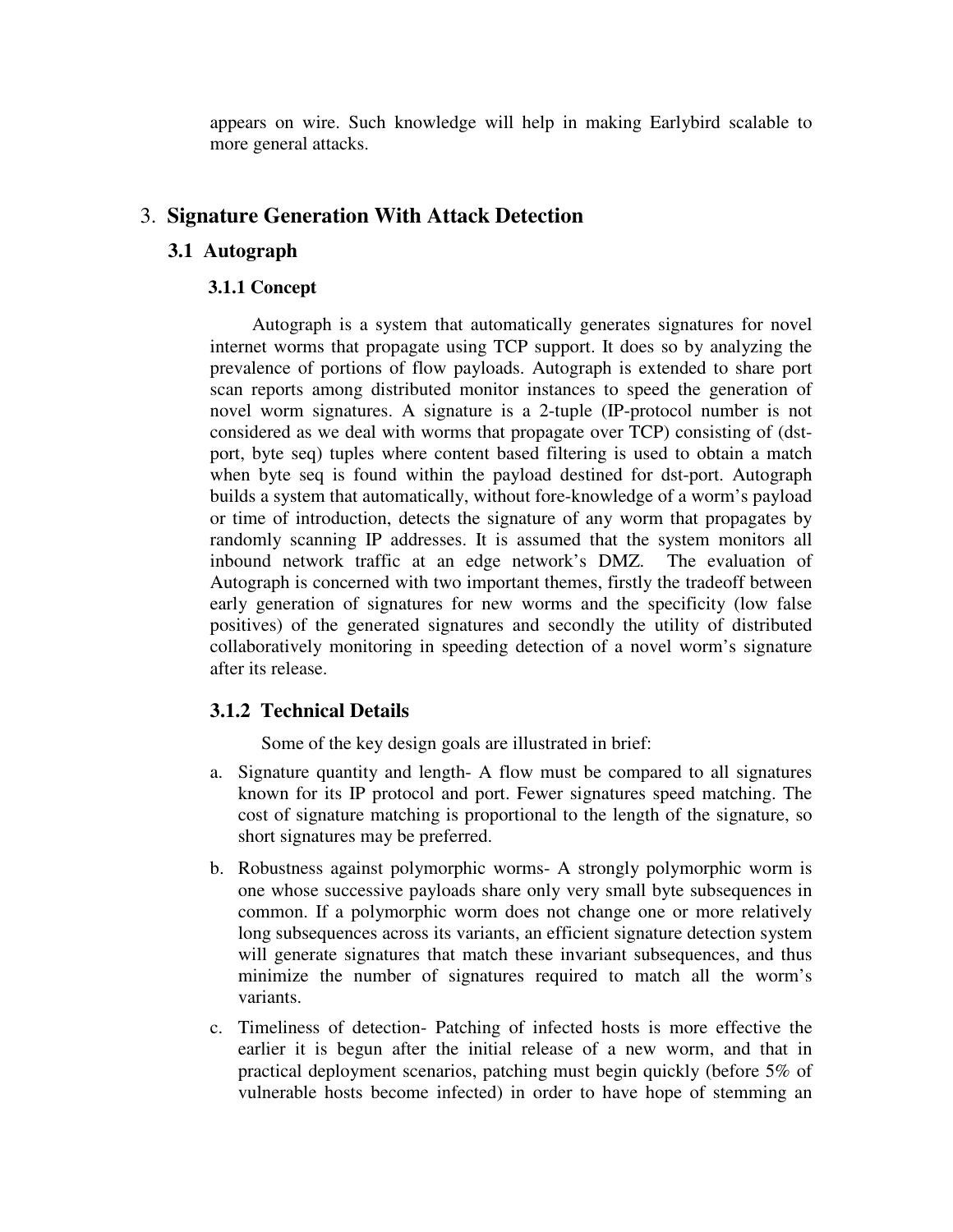appears on wire. Such knowledge will help in making Earlybird scalable to more general attacks.

# 3. **Signature Generation With Attack Detection**

# **3.1 Autograph**

# **3.1.1 Concept**

Autograph is a system that automatically generates signatures for novel internet worms that propagate using TCP support. It does so by analyzing the prevalence of portions of flow payloads. Autograph is extended to share port scan reports among distributed monitor instances to speed the generation of novel worm signatures. A signature is a 2-tuple (IP-protocol number is not considered as we deal with worms that propagate over TCP) consisting of (dstport, byte seq) tuples where content based filtering is used to obtain a match when byte seq is found within the payload destined for dst-port. Autograph builds a system that automatically, without fore-knowledge of a worm's payload or time of introduction, detects the signature of any worm that propagates by randomly scanning IP addresses. It is assumed that the system monitors all inbound network traffic at an edge network's DMZ. The evaluation of Autograph is concerned with two important themes, firstly the tradeoff between early generation of signatures for new worms and the specificity (low false positives) of the generated signatures and secondly the utility of distributed collaboratively monitoring in speeding detection of a novel worm's signature after its release.

# **3.1.2 Technical Details**

Some of the key design goals are illustrated in brief:

- a. Signature quantity and length- A flow must be compared to all signatures known for its IP protocol and port. Fewer signatures speed matching. The cost of signature matching is proportional to the length of the signature, so short signatures may be preferred.
- b. Robustness against polymorphic worms- A strongly polymorphic worm is one whose successive payloads share only very small byte subsequences in common. If a polymorphic worm does not change one or more relatively long subsequences across its variants, an efficient signature detection system will generate signatures that match these invariant subsequences, and thus minimize the number of signatures required to match all the worm's variants.
- c. Timeliness of detection- Patching of infected hosts is more effective the earlier it is begun after the initial release of a new worm, and that in practical deployment scenarios, patching must begin quickly (before 5% of vulnerable hosts become infected) in order to have hope of stemming an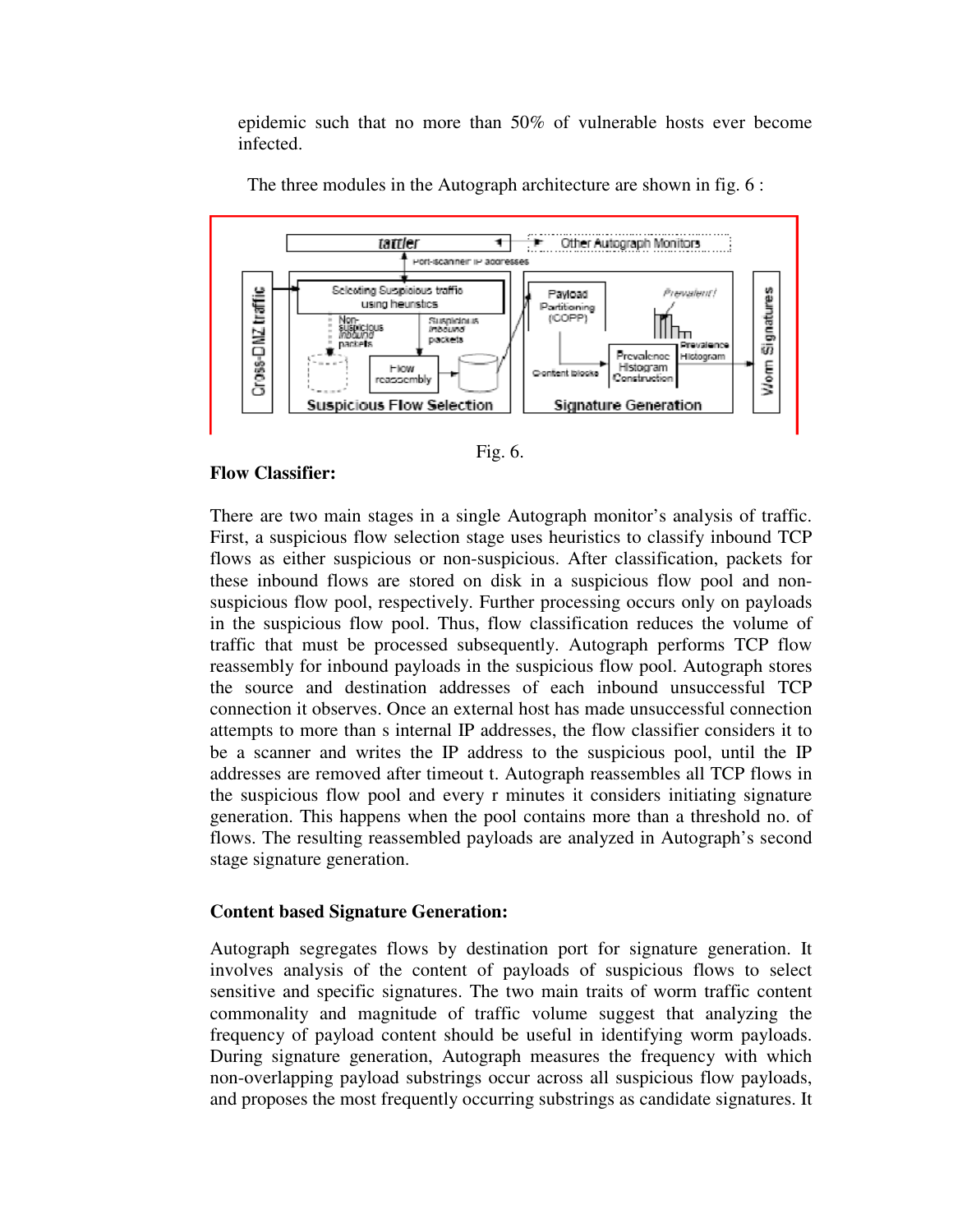epidemic such that no more than 50% of vulnerable hosts ever become infected.



The three modules in the Autograph architecture are shown in fig. 6 :



## **Flow Classifier:**

 There are two main stages in a single Autograph monitor's analysis of traffic. First, a suspicious flow selection stage uses heuristics to classify inbound TCP flows as either suspicious or non-suspicious. After classification, packets for these inbound flows are stored on disk in a suspicious flow pool and nonsuspicious flow pool, respectively. Further processing occurs only on payloads in the suspicious flow pool. Thus, flow classification reduces the volume of traffic that must be processed subsequently. Autograph performs TCP flow reassembly for inbound payloads in the suspicious flow pool. Autograph stores the source and destination addresses of each inbound unsuccessful TCP connection it observes. Once an external host has made unsuccessful connection attempts to more than s internal IP addresses, the flow classifier considers it to be a scanner and writes the IP address to the suspicious pool, until the IP addresses are removed after timeout t. Autograph reassembles all TCP flows in the suspicious flow pool and every r minutes it considers initiating signature generation. This happens when the pool contains more than a threshold no. of flows. The resulting reassembled payloads are analyzed in Autograph's second stage signature generation.

# **Content based Signature Generation:**

 Autograph segregates flows by destination port for signature generation. It involves analysis of the content of payloads of suspicious flows to select sensitive and specific signatures. The two main traits of worm traffic content commonality and magnitude of traffic volume suggest that analyzing the frequency of payload content should be useful in identifying worm payloads. During signature generation, Autograph measures the frequency with which non-overlapping payload substrings occur across all suspicious flow payloads, and proposes the most frequently occurring substrings as candidate signatures. It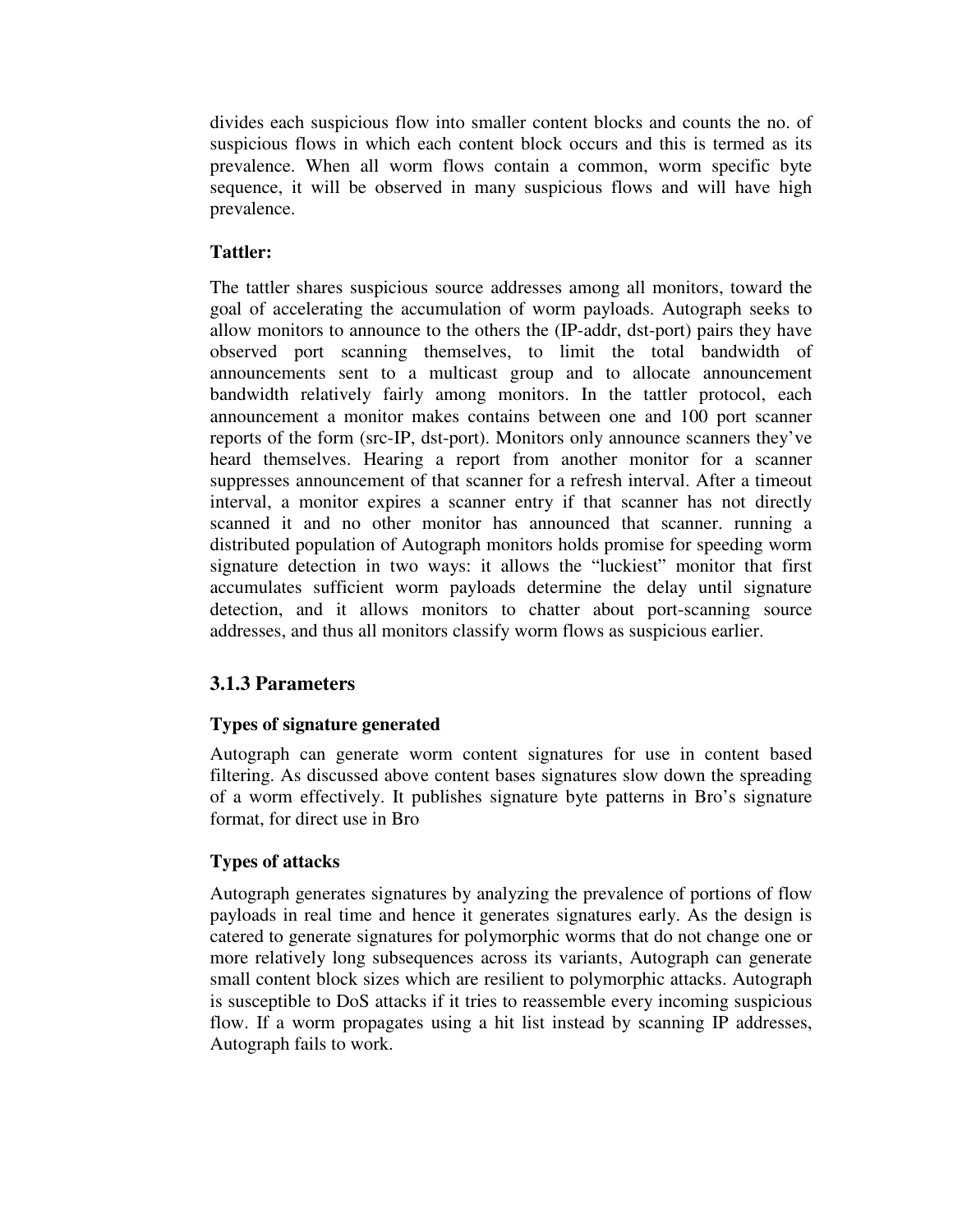divides each suspicious flow into smaller content blocks and counts the no. of suspicious flows in which each content block occurs and this is termed as its prevalence. When all worm flows contain a common, worm specific byte sequence, it will be observed in many suspicious flows and will have high prevalence.

# **Tattler:**

 The tattler shares suspicious source addresses among all monitors, toward the goal of accelerating the accumulation of worm payloads. Autograph seeks to allow monitors to announce to the others the (IP-addr, dst-port) pairs they have observed port scanning themselves, to limit the total bandwidth of announcements sent to a multicast group and to allocate announcement bandwidth relatively fairly among monitors. In the tattler protocol, each announcement a monitor makes contains between one and 100 port scanner reports of the form (src-IP, dst-port). Monitors only announce scanners they've heard themselves. Hearing a report from another monitor for a scanner suppresses announcement of that scanner for a refresh interval. After a timeout interval, a monitor expires a scanner entry if that scanner has not directly scanned it and no other monitor has announced that scanner. running a distributed population of Autograph monitors holds promise for speeding worm signature detection in two ways: it allows the "luckiest" monitor that first accumulates sufficient worm payloads determine the delay until signature detection, and it allows monitors to chatter about port-scanning source addresses, and thus all monitors classify worm flows as suspicious earlier.

# **3.1.3 Parameters**

# **Types of signature generated**

 Autograph can generate worm content signatures for use in content based filtering. As discussed above content bases signatures slow down the spreading of a worm effectively. It publishes signature byte patterns in Bro's signature format, for direct use in Bro

# **Types of attacks**

 Autograph generates signatures by analyzing the prevalence of portions of flow payloads in real time and hence it generates signatures early. As the design is catered to generate signatures for polymorphic worms that do not change one or more relatively long subsequences across its variants, Autograph can generate small content block sizes which are resilient to polymorphic attacks. Autograph is susceptible to DoS attacks if it tries to reassemble every incoming suspicious flow. If a worm propagates using a hit list instead by scanning IP addresses, Autograph fails to work.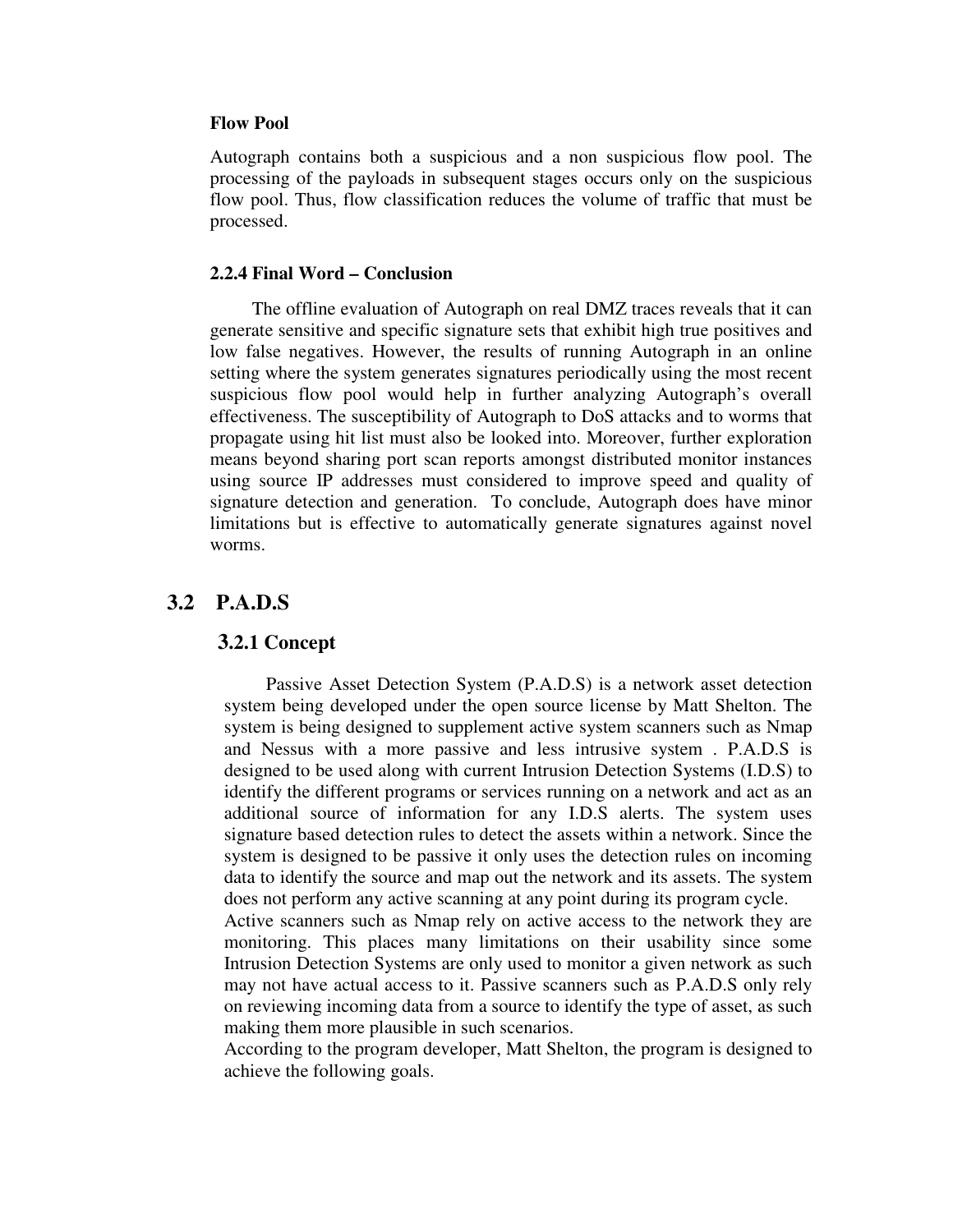#### **Flow Pool**

 Autograph contains both a suspicious and a non suspicious flow pool. The processing of the payloads in subsequent stages occurs only on the suspicious flow pool. Thus, flow classification reduces the volume of traffic that must be processed.

#### **2.2.4 Final Word – Conclusion**

 The offline evaluation of Autograph on real DMZ traces reveals that it can generate sensitive and specific signature sets that exhibit high true positives and low false negatives. However, the results of running Autograph in an online setting where the system generates signatures periodically using the most recent suspicious flow pool would help in further analyzing Autograph's overall effectiveness. The susceptibility of Autograph to DoS attacks and to worms that propagate using hit list must also be looked into. Moreover, further exploration means beyond sharing port scan reports amongst distributed monitor instances using source IP addresses must considered to improve speed and quality of signature detection and generation. To conclude, Autograph does have minor limitations but is effective to automatically generate signatures against novel worms.

# **3.2 P.A.D.S**

#### **3.2.1 Concept**

 Passive Asset Detection System (P.A.D.S) is a network asset detection system being developed under the open source license by Matt Shelton. The system is being designed to supplement active system scanners such as Nmap and Nessus with a more passive and less intrusive system . P.A.D.S is designed to be used along with current Intrusion Detection Systems (I.D.S) to identify the different programs or services running on a network and act as an additional source of information for any I.D.S alerts. The system uses signature based detection rules to detect the assets within a network. Since the system is designed to be passive it only uses the detection rules on incoming data to identify the source and map out the network and its assets. The system does not perform any active scanning at any point during its program cycle.

 Active scanners such as Nmap rely on active access to the network they are monitoring. This places many limitations on their usability since some Intrusion Detection Systems are only used to monitor a given network as such may not have actual access to it. Passive scanners such as P.A.D.S only rely on reviewing incoming data from a source to identify the type of asset, as such making them more plausible in such scenarios.

 According to the program developer, Matt Shelton, the program is designed to achieve the following goals.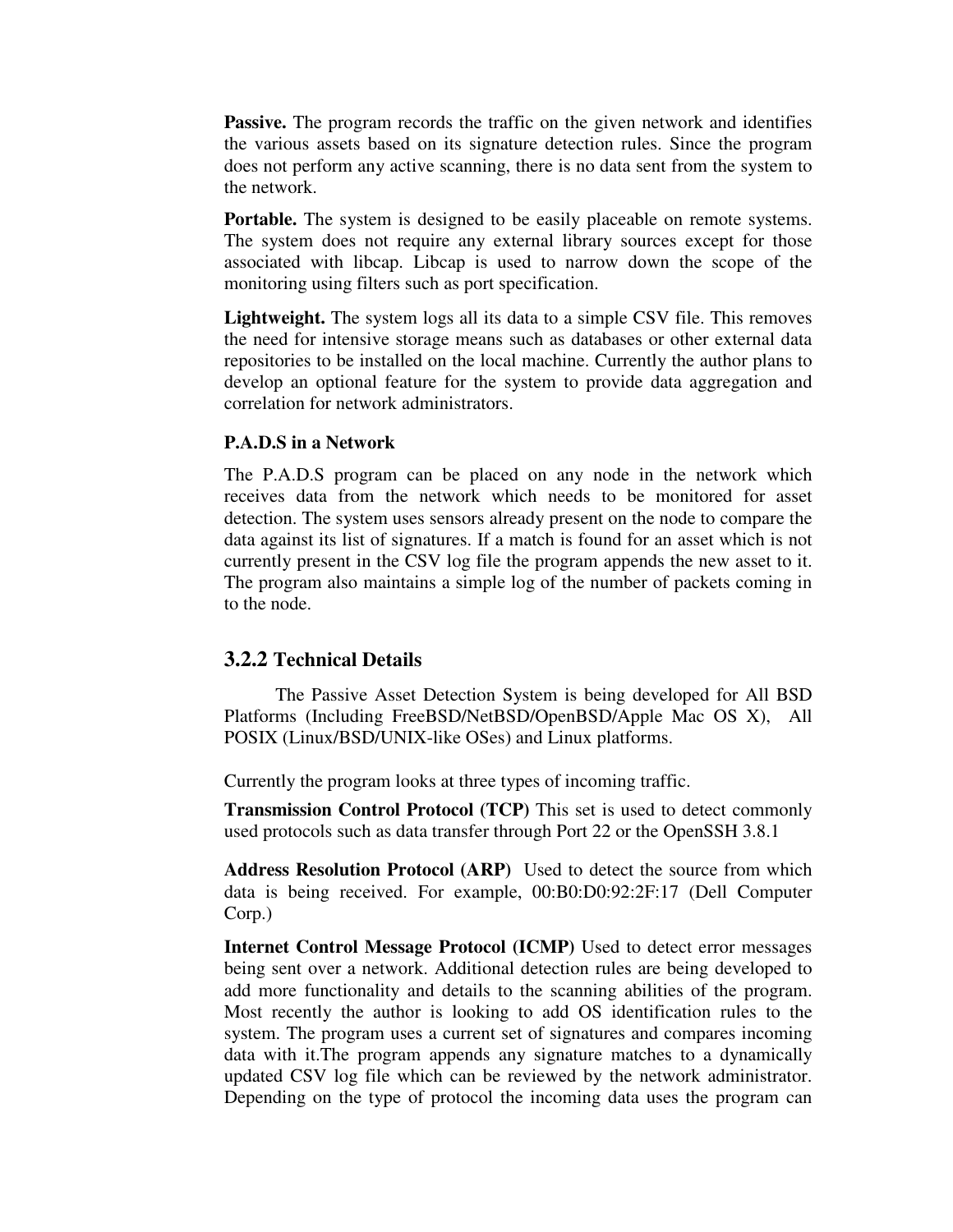**Passive.** The program records the traffic on the given network and identifies the various assets based on its signature detection rules. Since the program does not perform any active scanning, there is no data sent from the system to the network.

**Portable.** The system is designed to be easily placeable on remote systems. The system does not require any external library sources except for those associated with libcap. Libcap is used to narrow down the scope of the monitoring using filters such as port specification.

 **Lightweight.** The system logs all its data to a simple CSV file. This removes the need for intensive storage means such as databases or other external data repositories to be installed on the local machine. Currently the author plans to develop an optional feature for the system to provide data aggregation and correlation for network administrators.

#### **P.A.D.S in a Network**

The P.A.D.S program can be placed on any node in the network which receives data from the network which needs to be monitored for asset detection. The system uses sensors already present on the node to compare the data against its list of signatures. If a match is found for an asset which is not currently present in the CSV log file the program appends the new asset to it. The program also maintains a simple log of the number of packets coming in to the node.

## **3.2.2 Technical Details**

 The Passive Asset Detection System is being developed for All BSD Platforms (Including FreeBSD/NetBSD/OpenBSD/Apple Mac OS X), All POSIX (Linux/BSD/UNIX-like OSes) and Linux platforms.

Currently the program looks at three types of incoming traffic.

 **Transmission Control Protocol (TCP)** This set is used to detect commonly used protocols such as data transfer through Port 22 or the OpenSSH 3.8.1

 **Address Resolution Protocol (ARP)** Used to detect the source from which data is being received. For example, 00:B0:D0:92:2F:17 (Dell Computer Corp.)

 **Internet Control Message Protocol (ICMP)** Used to detect error messages being sent over a network. Additional detection rules are being developed to add more functionality and details to the scanning abilities of the program. Most recently the author is looking to add OS identification rules to the system. The program uses a current set of signatures and compares incoming data with it.The program appends any signature matches to a dynamically updated CSV log file which can be reviewed by the network administrator. Depending on the type of protocol the incoming data uses the program can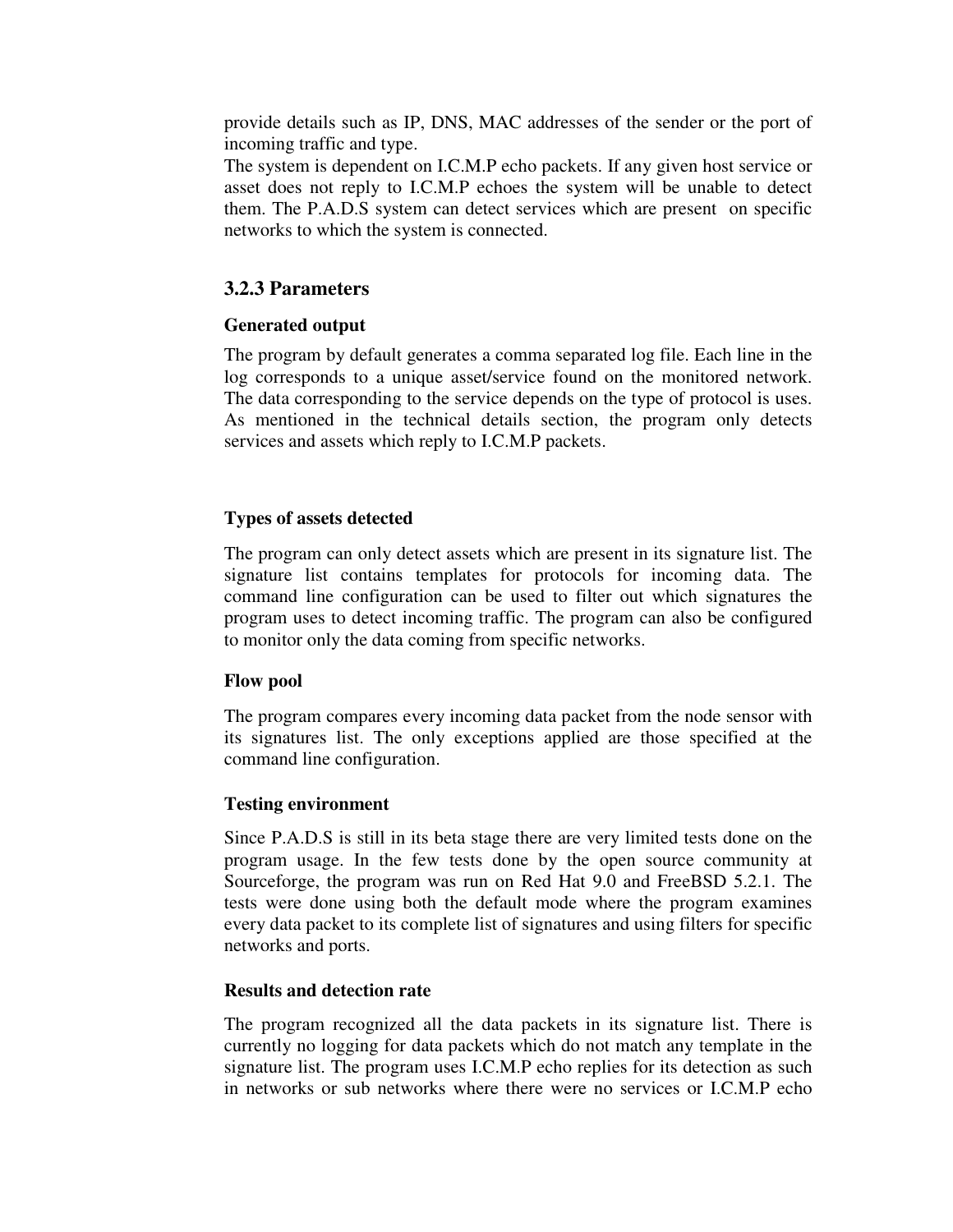provide details such as IP, DNS, MAC addresses of the sender or the port of incoming traffic and type.

 The system is dependent on I.C.M.P echo packets. If any given host service or asset does not reply to I.C.M.P echoes the system will be unable to detect them. The P.A.D.S system can detect services which are present on specific networks to which the system is connected.

# **3.2.3 Parameters**

# **Generated output**

The program by default generates a comma separated log file. Each line in the log corresponds to a unique asset/service found on the monitored network. The data corresponding to the service depends on the type of protocol is uses. As mentioned in the technical details section, the program only detects services and assets which reply to I.C.M.P packets.

# **Types of assets detected**

 The program can only detect assets which are present in its signature list. The signature list contains templates for protocols for incoming data. The command line configuration can be used to filter out which signatures the program uses to detect incoming traffic. The program can also be configured to monitor only the data coming from specific networks.

## **Flow pool**

 The program compares every incoming data packet from the node sensor with its signatures list. The only exceptions applied are those specified at the command line configuration.

## **Testing environment**

 Since P.A.D.S is still in its beta stage there are very limited tests done on the program usage. In the few tests done by the open source community at Sourceforge, the program was run on Red Hat 9.0 and FreeBSD 5.2.1. The tests were done using both the default mode where the program examines every data packet to its complete list of signatures and using filters for specific networks and ports.

## **Results and detection rate**

 The program recognized all the data packets in its signature list. There is currently no logging for data packets which do not match any template in the signature list. The program uses I.C.M.P echo replies for its detection as such in networks or sub networks where there were no services or I.C.M.P echo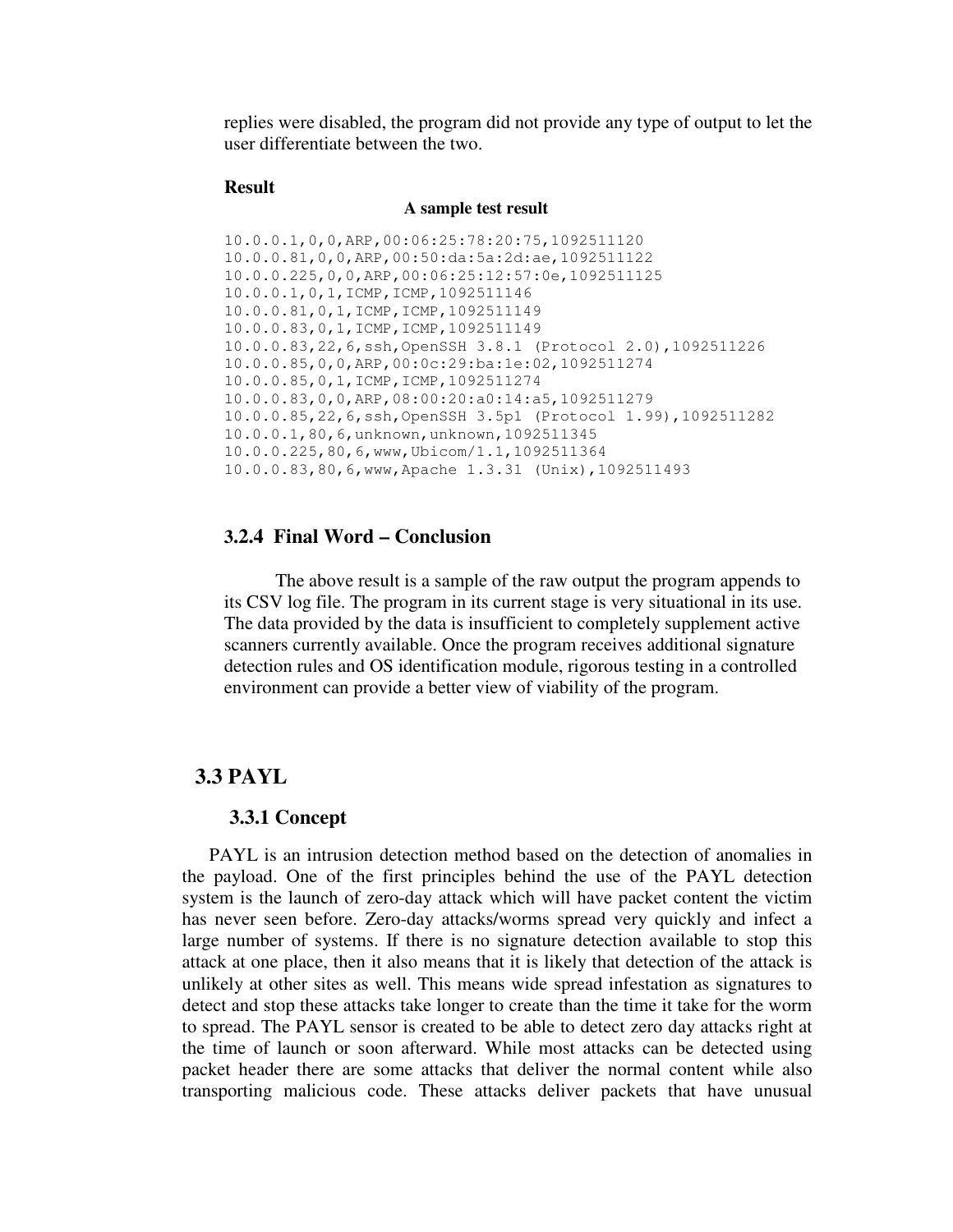replies were disabled, the program did not provide any type of output to let the user differentiate between the two.

#### **Result**

#### **A sample test result**

10.0.0.1,0,0,ARP,00:06:25:78:20:75,1092511120 10.0.0.81,0,0,ARP,00:50:da:5a:2d:ae,1092511122 10.0.0.225,0,0,ARP,00:06:25:12:57:0e,1092511125 10.0.0.1,0,1,ICMP,ICMP,1092511146 10.0.0.81,0,1,ICMP,ICMP,1092511149 10.0.0.83,0,1,ICMP,ICMP,1092511149 10.0.0.83,22,6,ssh,OpenSSH 3.8.1 (Protocol 2.0),1092511226 10.0.0.85,0,0,ARP,00:0c:29:ba:1e:02,1092511274 10.0.0.85,0,1,ICMP,ICMP,1092511274 10.0.0.83,0,0,ARP,08:00:20:a0:14:a5,1092511279 10.0.0.85,22,6,ssh,OpenSSH 3.5p1 (Protocol 1.99),1092511282 10.0.0.1,80,6,unknown,unknown,1092511345 10.0.0.225,80,6,www,Ubicom/1.1,1092511364 10.0.0.83,80,6,www,Apache 1.3.31 (Unix),1092511493

#### **3.2.4 Final Word – Conclusion**

 The above result is a sample of the raw output the program appends to its CSV log file. The program in its current stage is very situational in its use. The data provided by the data is insufficient to completely supplement active scanners currently available. Once the program receives additional signature detection rules and OS identification module, rigorous testing in a controlled environment can provide a better view of viability of the program.

## **3.3 PAYL**

#### **3.3.1 Concept**

PAYL is an intrusion detection method based on the detection of anomalies in the payload. One of the first principles behind the use of the PAYL detection system is the launch of zero-day attack which will have packet content the victim has never seen before. Zero-day attacks/worms spread very quickly and infect a large number of systems. If there is no signature detection available to stop this attack at one place, then it also means that it is likely that detection of the attack is unlikely at other sites as well. This means wide spread infestation as signatures to detect and stop these attacks take longer to create than the time it take for the worm to spread. The PAYL sensor is created to be able to detect zero day attacks right at the time of launch or soon afterward. While most attacks can be detected using packet header there are some attacks that deliver the normal content while also transporting malicious code. These attacks deliver packets that have unusual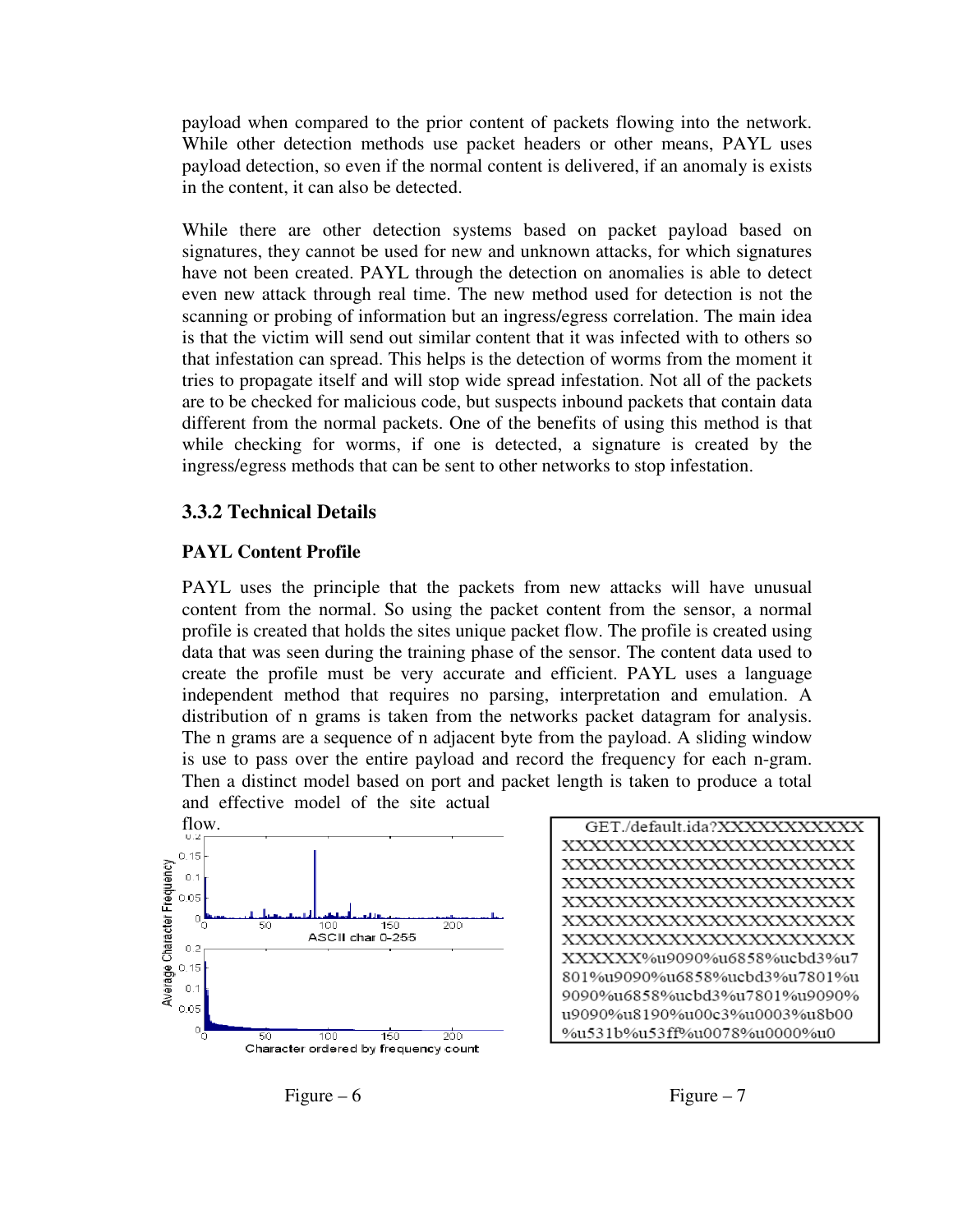payload when compared to the prior content of packets flowing into the network. While other detection methods use packet headers or other means, PAYL uses payload detection, so even if the normal content is delivered, if an anomaly is exists in the content, it can also be detected.

While there are other detection systems based on packet payload based on signatures, they cannot be used for new and unknown attacks, for which signatures have not been created. PAYL through the detection on anomalies is able to detect even new attack through real time. The new method used for detection is not the scanning or probing of information but an ingress/egress correlation. The main idea is that the victim will send out similar content that it was infected with to others so that infestation can spread. This helps is the detection of worms from the moment it tries to propagate itself and will stop wide spread infestation. Not all of the packets are to be checked for malicious code, but suspects inbound packets that contain data different from the normal packets. One of the benefits of using this method is that while checking for worms, if one is detected, a signature is created by the ingress/egress methods that can be sent to other networks to stop infestation.

#### **3.3.2 Technical Details**

#### **PAYL Content Profile**

PAYL uses the principle that the packets from new attacks will have unusual content from the normal. So using the packet content from the sensor, a normal profile is created that holds the sites unique packet flow. The profile is created using data that was seen during the training phase of the sensor. The content data used to create the profile must be very accurate and efficient. PAYL uses a language independent method that requires no parsing, interpretation and emulation. A distribution of n grams is taken from the networks packet datagram for analysis. The n grams are a sequence of n adjacent byte from the payload. A sliding window is use to pass over the entire payload and record the frequency for each n-gram. Then a distinct model based on port and packet length is taken to produce a total



GET./default.ida?XXXXXXXXXXX XXXXXXXXXXXXXXXXXXXXX XXXXXXXXXXXXXXXXXXXXX XXXXXXXXXXXXXXXXXXXXX XXXXXXXXXXXXXXXXXXXXX XXXXXXXXXXXXXXXXXXXXX XXXXXXXXXXXXXXXXXXXXX XXXXXX%u9090%u6858%ucbd3%u7 801%u9090%u6858%ucbd3%u7801%u 9090%u6858%ucbd3%u7801%u9090% u9090%u8190%u00c3%u0003%u8b00 %u531b%u53ff%u0078%u0000%u0

Figure – 6 Figure – 7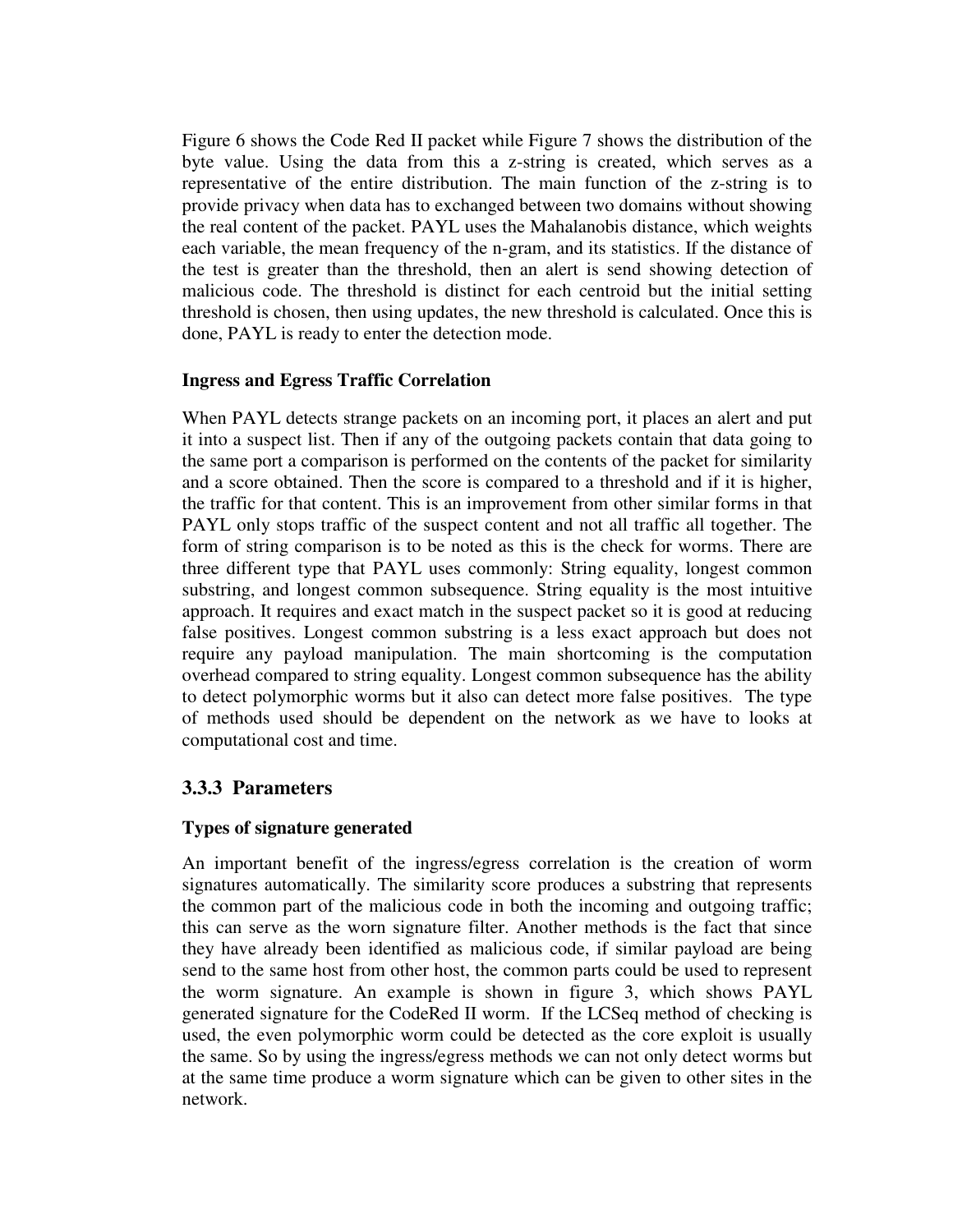Figure 6 shows the Code Red II packet while Figure 7 shows the distribution of the byte value. Using the data from this a z-string is created, which serves as a representative of the entire distribution. The main function of the z-string is to provide privacy when data has to exchanged between two domains without showing the real content of the packet. PAYL uses the Mahalanobis distance, which weights each variable, the mean frequency of the n-gram, and its statistics. If the distance of the test is greater than the threshold, then an alert is send showing detection of malicious code. The threshold is distinct for each centroid but the initial setting threshold is chosen, then using updates, the new threshold is calculated. Once this is done, PAYL is ready to enter the detection mode.

## **Ingress and Egress Traffic Correlation**

When PAYL detects strange packets on an incoming port, it places an alert and put it into a suspect list. Then if any of the outgoing packets contain that data going to the same port a comparison is performed on the contents of the packet for similarity and a score obtained. Then the score is compared to a threshold and if it is higher, the traffic for that content. This is an improvement from other similar forms in that PAYL only stops traffic of the suspect content and not all traffic all together. The form of string comparison is to be noted as this is the check for worms. There are three different type that PAYL uses commonly: String equality, longest common substring, and longest common subsequence. String equality is the most intuitive approach. It requires and exact match in the suspect packet so it is good at reducing false positives. Longest common substring is a less exact approach but does not require any payload manipulation. The main shortcoming is the computation overhead compared to string equality. Longest common subsequence has the ability to detect polymorphic worms but it also can detect more false positives. The type of methods used should be dependent on the network as we have to looks at computational cost and time.

# **3.3.3 Parameters**

# **Types of signature generated**

 An important benefit of the ingress/egress correlation is the creation of worm signatures automatically. The similarity score produces a substring that represents the common part of the malicious code in both the incoming and outgoing traffic; this can serve as the worn signature filter. Another methods is the fact that since they have already been identified as malicious code, if similar payload are being send to the same host from other host, the common parts could be used to represent the worm signature. An example is shown in figure 3, which shows PAYL generated signature for the CodeRed II worm. If the LCSeq method of checking is used, the even polymorphic worm could be detected as the core exploit is usually the same. So by using the ingress/egress methods we can not only detect worms but at the same time produce a worm signature which can be given to other sites in the network.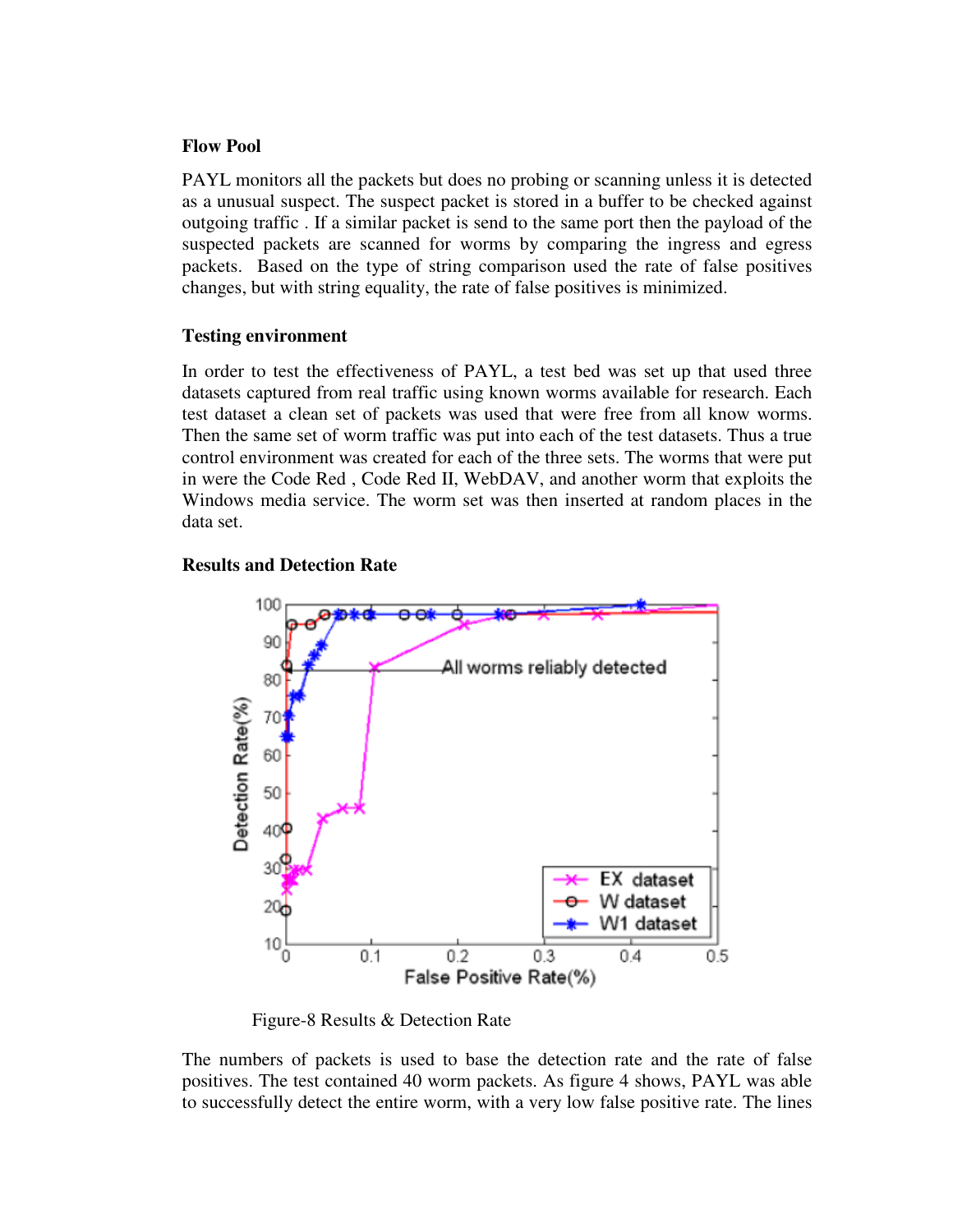#### **Flow Pool**

 PAYL monitors all the packets but does no probing or scanning unless it is detected as a unusual suspect. The suspect packet is stored in a buffer to be checked against outgoing traffic . If a similar packet is send to the same port then the payload of the suspected packets are scanned for worms by comparing the ingress and egress packets. Based on the type of string comparison used the rate of false positives changes, but with string equality, the rate of false positives is minimized.

## **Testing environment**

 In order to test the effectiveness of PAYL, a test bed was set up that used three datasets captured from real traffic using known worms available for research. Each test dataset a clean set of packets was used that were free from all know worms. Then the same set of worm traffic was put into each of the test datasets. Thus a true control environment was created for each of the three sets. The worms that were put in were the Code Red , Code Red II, WebDAV, and another worm that exploits the Windows media service. The worm set was then inserted at random places in the data set.

# **Results and Detection Rate**



Figure-8 Results & Detection Rate

 The numbers of packets is used to base the detection rate and the rate of false positives. The test contained 40 worm packets. As figure 4 shows, PAYL was able to successfully detect the entire worm, with a very low false positive rate. The lines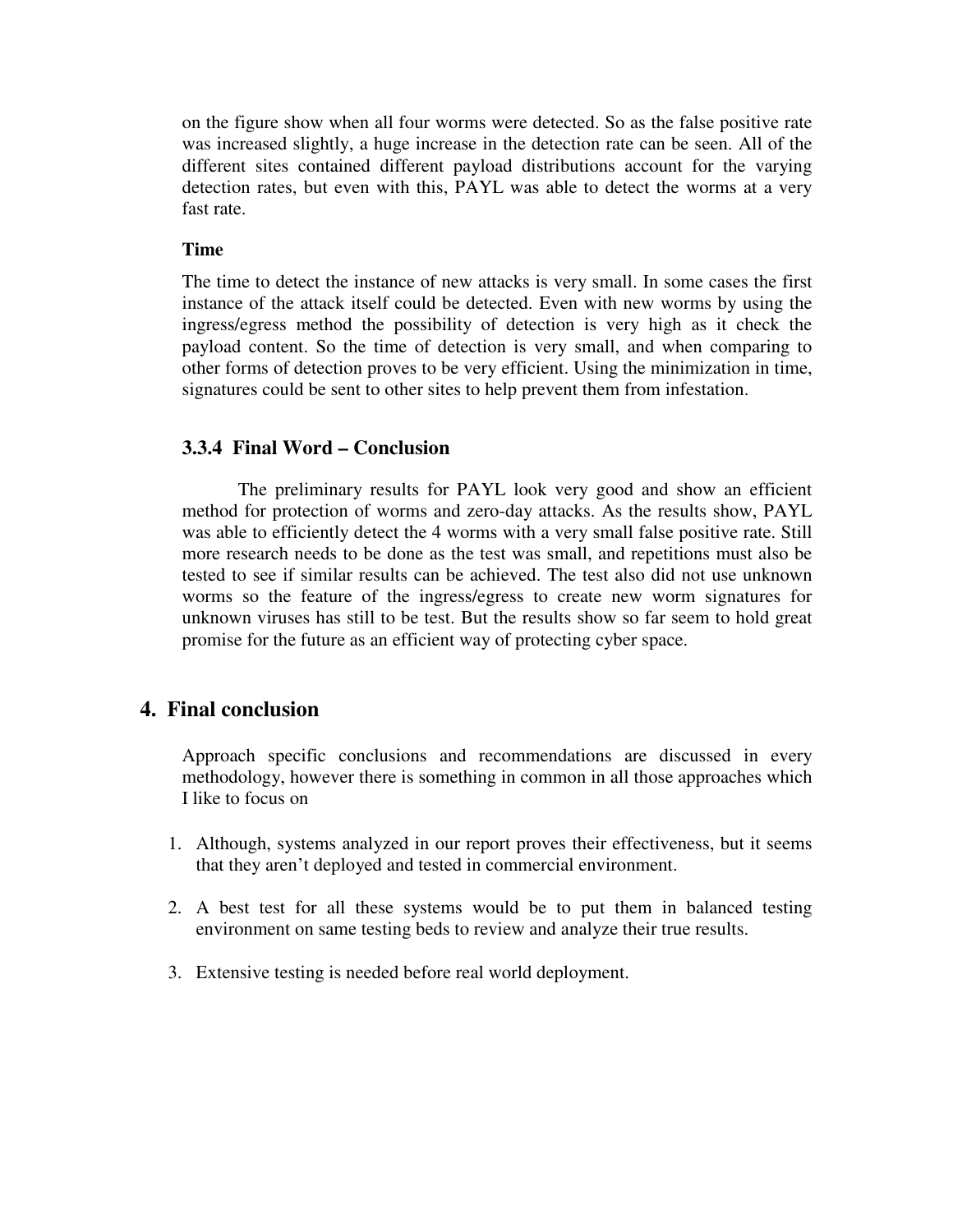on the figure show when all four worms were detected. So as the false positive rate was increased slightly, a huge increase in the detection rate can be seen. All of the different sites contained different payload distributions account for the varying detection rates, but even with this, PAYL was able to detect the worms at a very fast rate.

## **Time**

 The time to detect the instance of new attacks is very small. In some cases the first instance of the attack itself could be detected. Even with new worms by using the ingress/egress method the possibility of detection is very high as it check the payload content. So the time of detection is very small, and when comparing to other forms of detection proves to be very efficient. Using the minimization in time, signatures could be sent to other sites to help prevent them from infestation.

# **3.3.4 Final Word – Conclusion**

 The preliminary results for PAYL look very good and show an efficient method for protection of worms and zero-day attacks. As the results show, PAYL was able to efficiently detect the 4 worms with a very small false positive rate. Still more research needs to be done as the test was small, and repetitions must also be tested to see if similar results can be achieved. The test also did not use unknown worms so the feature of the ingress/egress to create new worm signatures for unknown viruses has still to be test. But the results show so far seem to hold great promise for the future as an efficient way of protecting cyber space.

# **4. Final conclusion**

Approach specific conclusions and recommendations are discussed in every methodology, however there is something in common in all those approaches which I like to focus on

- 1. Although, systems analyzed in our report proves their effectiveness, but it seems that they aren't deployed and tested in commercial environment.
- 2. A best test for all these systems would be to put them in balanced testing environment on same testing beds to review and analyze their true results.
- 3. Extensive testing is needed before real world deployment.